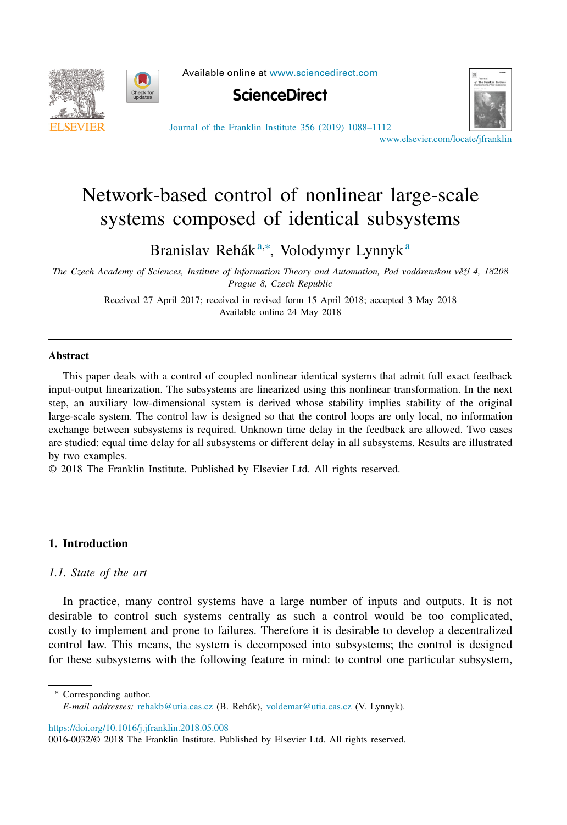



Available online at [www.sciencedirect.com](http://www.sciencedirect.com)





Journal of the Franklin Institute 356 (2019) [1088–1112](https://doi.org/10.1016/j.jfranklin.2018.05.008)

[www.elsevier.com/locate/jfranklin](http://www.elsevier.com/locate/jfranklin)

# Network-based control of nonlinear large-scale systems composed of identical subsystems

Branislav Rehák<sup>a,∗</sup>, Volodymyr Lynnyk<sup>a</sup>

*The Czech Academy of Sciences, Institute of Information Theory and Automation, Pod vodárenskou vˇeží 4, 18208 Prague 8, Czech Republic*

> Received 27 April 2017; received in revised form 15 April 2018; accepted 3 May 2018 Available online 24 May 2018

#### **Abstract**

This paper deals with a control of coupled nonlinear identical systems that admit full exact feedback input-output linearization. The subsystems are linearized using this nonlinear transformation. In the next step, an auxiliary low-dimensional system is derived whose stability implies stability of the original large-scale system. The control law is designed so that the control loops are only local, no information exchange between subsystems is required. Unknown time delay in the feedback are allowed. Two cases are studied: equal time delay for all subsystems or different delay in all subsystems. Results are illustrated by two examples.

© 2018 The Franklin Institute. Published by Elsevier Ltd. All rights reserved.

# **1. Introduction**

# *1.1. State of the art*

In practice, many control systems have a large number of inputs and outputs. It is not desirable to control such systems centrally as such a control would be too complicated, costly to implement and prone to failures. Therefore it is desirable to develop a decentralized control law. This means, the system is decomposed into subsystems; the control is designed for these subsystems with the following feature in mind: to control one particular subsystem,

<sup>∗</sup> Corresponding author. *E-mail addresses:* [rehakb@utia.cas.cz](mailto:rehakb@utia.cas.cz) (B. Rehák), [voldemar@utia.cas.cz](mailto:voldemar@utia.cas.cz) (V. Lynnyk).

<https://doi.org/10.1016/j.jfranklin.2018.05.008>

<sup>0016-0032/© 2018</sup> The Franklin Institute. Published by Elsevier Ltd. All rights reserved.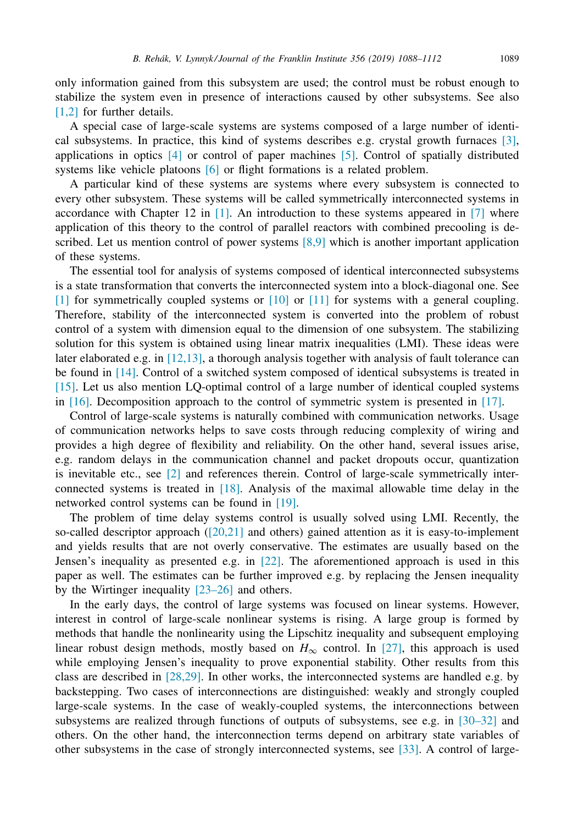only information gained from this subsystem are used; the control must be robust enough to stabilize the system even in presence of interactions caused by other subsystems. See also [\[1,2\]](#page-23-0) for further details.

A special case of large-scale systems are systems composed of a large number of identical subsystems. In practice, this kind of systems describes e.g. crystal growth furnaces [\[3\],](#page-23-0) applications in optics  $[4]$  or control of paper machines  $[5]$ . Control of spatially distributed systems like vehicle platoons [\[6\]](#page-23-0) or flight formations is a related problem.

A particular kind of these systems are systems where every subsystem is connected to every other subsystem. These systems will be called symmetrically interconnected systems in accordance with Chapter 12 in  $[1]$ . An introduction to these systems appeared in  $[7]$  where application of this theory to the control of parallel reactors with combined precooling is described. Let us mention control of power systems  $[8,9]$  which is another important application of these systems.

The essential tool for analysis of systems composed of identical interconnected subsystems is a state transformation that converts the interconnected system into a block-diagonal one. See [\[1\]](#page-23-0) for symmetrically coupled systems or [\[10\]](#page-23-0) or [\[11\]](#page-23-0) for systems with a general coupling. Therefore, stability of the interconnected system is converted into the problem of robust control of a system with dimension equal to the dimension of one subsystem. The stabilizing solution for this system is obtained using linear matrix inequalities (LMI). These ideas were later elaborated e.g. in [\[12,13\],](#page-23-0) a thorough analysis together with analysis of fault tolerance can be found in [\[14\].](#page-23-0) Control of a switched system composed of identical subsystems is treated in [\[15\].](#page-23-0) Let us also mention LQ-optimal control of a large number of identical coupled systems in [\[16\].](#page-23-0) Decomposition approach to the control of symmetric system is presented in [\[17\].](#page-23-0)

Control of large-scale systems is naturally combined with communication networks. Usage of communication networks helps to save costs through reducing complexity of wiring and provides a high degree of flexibility and reliability. On the other hand, several issues arise, e.g. random delays in the communication channel and packet dropouts occur, quantization is inevitable etc., see [\[2\]](#page-23-0) and references therein. Control of large-scale symmetrically interconnected systems is treated in [\[18\].](#page-23-0) Analysis of the maximal allowable time delay in the networked control systems can be found in [\[19\].](#page-23-0)

The problem of time delay systems control is usually solved using LMI. Recently, the so-called descriptor approach [\(\[20,21\]](#page-23-0) and others) gained attention as it is easy-to-implement and yields results that are not overly conservative. The estimates are usually based on the Jensen's inequality as presented e.g. in [\[22\].](#page-24-0) The aforementioned approach is used in this paper as well. The estimates can be further improved e.g. by replacing the Jensen inequality by the Wirtinger inequality [\[23–26\]](#page-24-0) and others.

In the early days, the control of large systems was focused on linear systems. However, interest in control of large-scale nonlinear systems is rising. A large group is formed by methods that handle the nonlinearity using the Lipschitz inequality and subsequent employing linear robust design methods, mostly based on  $H_{\infty}$  control. In [\[27\],](#page-24-0) this approach is used while employing Jensen's inequality to prove exponential stability. Other results from this class are described in [\[28,29\].](#page-24-0) In other works, the interconnected systems are handled e.g. by backstepping. Two cases of interconnections are distinguished: weakly and strongly coupled large-scale systems. In the case of weakly-coupled systems, the interconnections between subsystems are realized through functions of outputs of subsystems, see e.g. in [\[30–32\]](#page-24-0) and others. On the other hand, the interconnection terms depend on arbitrary state variables of other subsystems in the case of strongly interconnected systems, see [\[33\].](#page-24-0) A control of large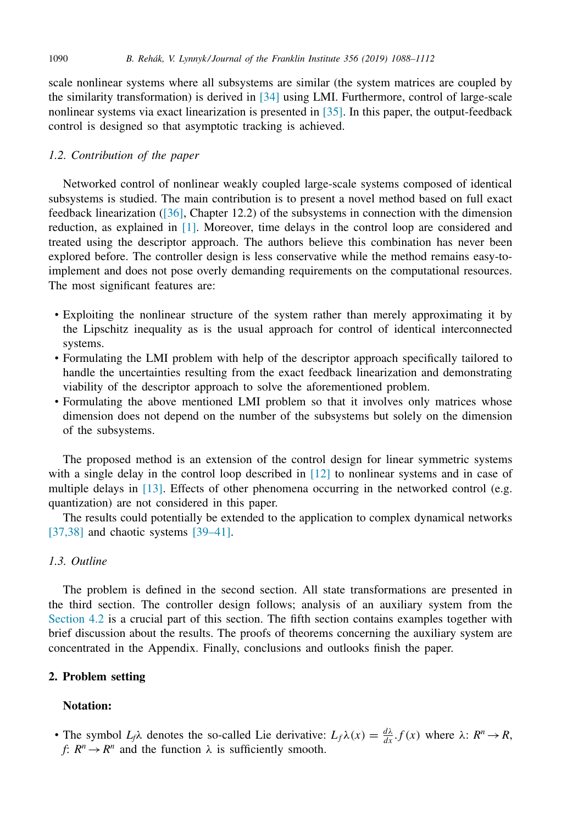scale nonlinear systems where all subsystems are similar (the system matrices are coupled by the similarity transformation) is derived in [\[34\]](#page-24-0) using LMI. Furthermore, control of large-scale nonlinear systems via exact linearization is presented in [\[35\].](#page-24-0) In this paper, the output-feedback control is designed so that asymptotic tracking is achieved.

# *1.2. Contribution of the paper*

Networked control of nonlinear weakly coupled large-scale systems composed of identical subsystems is studied. The main contribution is to present a novel method based on full exact feedback linearization [\(\[36\],](#page-24-0) Chapter 12.2) of the subsystems in connection with the dimension reduction, as explained in [\[1\].](#page-23-0) Moreover, time delays in the control loop are considered and treated using the descriptor approach. The authors believe this combination has never been explored before. The controller design is less conservative while the method remains easy-toimplement and does not pose overly demanding requirements on the computational resources. The most significant features are:

- Exploiting the nonlinear structure of the system rather than merely approximating it by the Lipschitz inequality as is the usual approach for control of identical interconnected systems.
- Formulating the LMI problem with help of the descriptor approach specifically tailored to handle the uncertainties resulting from the exact feedback linearization and demonstrating viability of the descriptor approach to solve the aforementioned problem.
- Formulating the above mentioned LMI problem so that it involves only matrices whose dimension does not depend on the number of the subsystems but solely on the dimension of the subsystems.

The proposed method is an extension of the control design for linear symmetric systems with a single delay in the control loop described in [\[12\]](#page-23-0) to nonlinear systems and in case of multiple delays in [\[13\].](#page-23-0) Effects of other phenomena occurring in the networked control (e.g. quantization) are not considered in this paper.

The results could potentially be extended to the application to complex dynamical networks [\[37,38\]](#page-24-0) and chaotic systems [\[39–41\].](#page-24-0)

# *1.3. Outline*

The problem is defined in the second section. All state transformations are presented in the third section. The controller design follows; analysis of an auxiliary system from the [Section](#page-9-0) 4.2 is a crucial part of this section. The fifth section contains examples together with brief discussion about the results. The proofs of theorems concerning the auxiliary system are concentrated in the Appendix. Finally, conclusions and outlooks finish the paper.

## **2. Problem setting**

## **Notation:**

• The symbol  $L_f \lambda$  denotes the so-called Lie derivative:  $L_f \lambda(x) = \frac{d\lambda}{dx} f(x)$  where  $\lambda: R^n \to R$ , *f*:  $R^n \rightarrow R^n$  and the function  $\lambda$  is sufficiently smooth.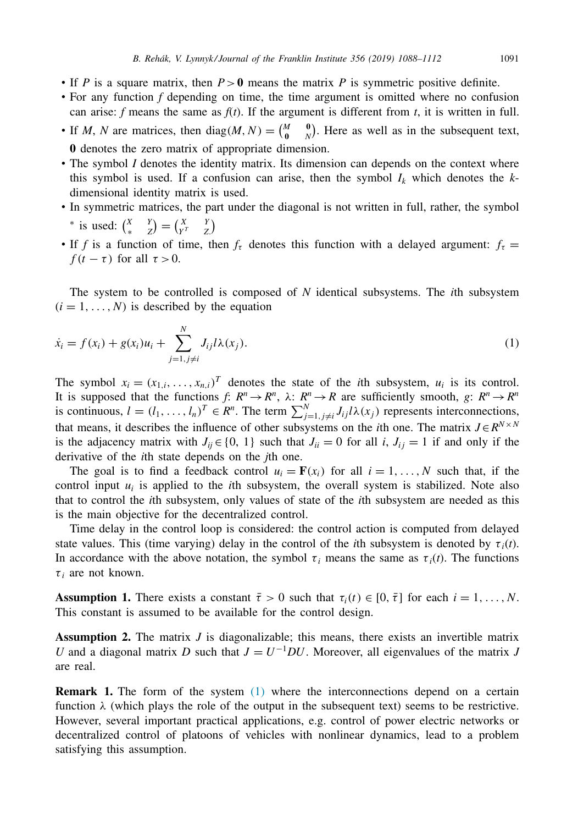- <span id="page-3-0"></span>• If *P* is a square matrix, then  $P > 0$  means the matrix *P* is symmetric positive definite.
- For any function *f* depending on time, the time argument is omitted where no confusion can arise: *f* means the same as  $f(t)$ . If the argument is different from *t*, it is written in full.
- If *M*, *N* are matrices, then diag(*M*, *N*) =  $\begin{pmatrix} M & 0 \\ 0 & N \end{pmatrix}$ . Here as well as in the subsequent text, **0** denotes the zero matrix of appropriate dimension.
- The symbol *I* denotes the identity matrix. Its dimension can depends on the context where this symbol is used. If a confusion can arise, then the symbol  $I_k$  which denotes the  $k$ dimensional identity matrix is used.
- In symmetric matrices, the part under the diagonal is not written in full, rather, the symbol \* is used:  $\begin{pmatrix} X & Y \\ * & Z \end{pmatrix} = \begin{pmatrix} X & Y \\ Y^T & Z \end{pmatrix}$
- If *f* is a function of time, then  $f<sub>\tau</sub>$  denotes this function with a delayed argument:  $f<sub>\tau</sub>$  = *f* ( $t - \tau$ ) for all  $\tau > 0$ .

The system to be controlled is composed of *N* identical subsystems. The *i*th subsystem  $(i = 1, \ldots, N)$  is described by the equation

$$
\dot{x}_i = f(x_i) + g(x_i)u_i + \sum_{j=1, j \neq i}^{N} J_{ij}l\lambda(x_j).
$$
\n(1)

The symbol  $x_i = (x_{1,i}, \ldots, x_{n,i})^T$  denotes the state of the *i*th subsystem,  $u_i$  is its control. It is supposed that the functions *f*:  $R^n \to R^n$ ,  $\lambda$ :  $R^n \to R$  are sufficiently smooth,  $g: R^n \to R^n$ is continuous,  $l = (l_1, \ldots, l_n)^T \in R^n$ . The term  $\sum_{j=1, j \neq i}^N J_{ij} l \lambda(x_j)$  represents interconnections, that means, it describes the influence of other subsystems on the *i*th one. The matrix  $J \in R^{N \times N}$ is the adjacency matrix with  $J_{ij} \in \{0, 1\}$  such that  $J_{ii} = 0$  for all *i*,  $J_{ij} = 1$  if and only if the derivative of the *i*th state depends on the *j*th one.

The goal is to find a feedback control  $u_i = \mathbf{F}(x_i)$  for all  $i = 1, \ldots, N$  such that, if the control input  $u_i$  is applied to the *i*th subsystem, the overall system is stabilized. Note also that to control the *i*th subsystem, only values of state of the *i*th subsystem are needed as this is the main objective for the decentralized control.

Time delay in the control loop is considered: the control action is computed from delayed state values. This (time varying) delay in the control of the *i*th subsystem is denoted by  $\tau_i(t)$ . In accordance with the above notation, the symbol  $\tau_i$  means the same as  $\tau_i(t)$ . The functions  $\tau_i$  are not known.

**Assumption 1.** There exists a constant  $\bar{\tau} > 0$  such that  $\tau_i(t) \in [0, \bar{\tau}]$  for each  $i = 1, \ldots, N$ . This constant is assumed to be available for the control design.

**Assumption 2.** The matrix *J* is diagonalizable; this means, there exists an invertible matrix *U* and a diagonal matrix *D* such that  $J = U^{-1}DU$ . Moreover, all eigenvalues of the matrix *J* are real.

**Remark 1.** The form of the system (1) where the interconnections depend on a certain function  $\lambda$  (which plays the role of the output in the subsequent text) seems to be restrictive. However, several important practical applications, e.g. control of power electric networks or decentralized control of platoons of vehicles with nonlinear dynamics, lead to a problem satisfying this assumption.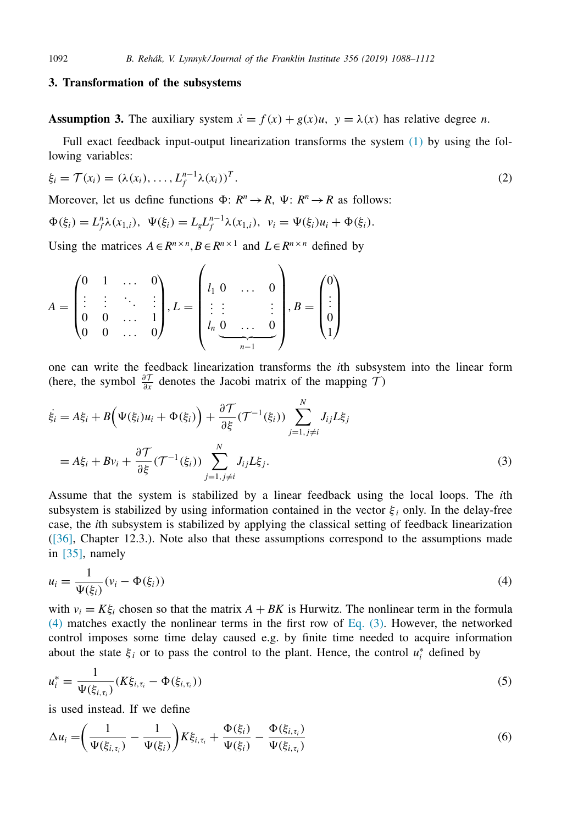#### **3. Transformation of the subsystems**

**Assumption 3.** The auxiliary system  $\dot{x} = f(x) + g(x)u$ ,  $y = \lambda(x)$  has relative degree *n*.

Full exact feedback input-output linearization transforms the system [\(1\)](#page-3-0) by using the following variables:

$$
\xi_i = \mathcal{T}(x_i) = (\lambda(x_i), \dots, L_f^{n-1} \lambda(x_i))^T.
$$
\n
$$
(2)
$$

Moreover, let us define functions  $\Phi: R^n \to R$ ,  $\Psi: R^n \to R$  as follows:

$$
\Phi(\xi_i) = L_f^n \lambda(x_{1,i}), \ \Psi(\xi_i) = L_g L_f^{n-1} \lambda(x_{1,i}), \ \ v_i = \Psi(\xi_i) u_i + \Phi(\xi_i).
$$

Using the matrices  $A \in \mathbb{R}^{n \times n}$ ,  $B \in \mathbb{R}^{n \times 1}$  and  $L \in \mathbb{R}^{n \times n}$  defined by

$$
A = \begin{pmatrix} 0 & 1 & \dots & 0 \\ \vdots & \vdots & \ddots & \vdots \\ 0 & 0 & \dots & 1 \\ 0 & 0 & \dots & 0 \end{pmatrix}, L = \begin{pmatrix} l_1 & 0 & \dots & 0 \\ \vdots & \vdots & & \vdots \\ l_n & 0 & \dots & 0 \\ \frac{0}{n-1} & \dots & \frac{0}{n-1} \end{pmatrix}, B = \begin{pmatrix} 0 \\ \vdots \\ 0 \\ 1 \end{pmatrix}
$$

one can write the feedback linearization transforms the *i*th subsystem into the linear form (here, the symbol  $\frac{\partial \mathcal{T}}{\partial x}$  denotes the Jacobi matrix of the mapping  $\mathcal{T}$ )

$$
\dot{\xi}_i = A\xi_i + B\Big(\Psi(\xi_i)u_i + \Phi(\xi_i)\Big) + \frac{\partial \mathcal{T}}{\partial \xi}(\mathcal{T}^{-1}(\xi_i)) \sum_{j=1, j\neq i}^N J_{ij}L\xi_j
$$
\n
$$
= A\xi_i + Bv_i + \frac{\partial \mathcal{T}}{\partial \xi}(\mathcal{T}^{-1}(\xi_i)) \sum_{j=1, j\neq i}^N J_{ij}L\xi_j.
$$
\n(3)

Assume that the system is stabilized by a linear feedback using the local loops. The *i*th subsystem is stabilized by using information contained in the vector  $\xi_i$  only. In the delay-free case, the *i*th subsystem is stabilized by applying the classical setting of feedback linearization [\(\[36\],](#page-24-0) Chapter 12.3.). Note also that these assumptions correspond to the assumptions made in [\[35\],](#page-24-0) namely

$$
u_i = \frac{1}{\Psi(\xi_i)}(v_i - \Phi(\xi_i))
$$
\n<sup>(4)</sup>

with  $v_i = K \xi_i$  chosen so that the matrix  $A + BK$  is Hurwitz. The nonlinear term in the formula (4) matches exactly the nonlinear terms in the first row of Eq. (3). However, the networked control imposes some time delay caused e.g. by finite time needed to acquire information about the state  $\xi_i$  or to pass the control to the plant. Hence, the control  $u_i^*$  defined by

$$
u_i^* = \frac{1}{\Psi(\xi_{i,\tau_i})} (K\xi_{i,\tau_i} - \Phi(\xi_{i,\tau_i}))
$$
\n(5)

is used instead. If we define

$$
\Delta u_i = \left(\frac{1}{\Psi(\xi_{i,\tau_i})} - \frac{1}{\Psi(\xi_i)}\right) K \xi_{i,\tau_i} + \frac{\Phi(\xi_i)}{\Psi(\xi_i)} - \frac{\Phi(\xi_{i,\tau_i})}{\Psi(\xi_{i,\tau_i})}
$$
(6)

<span id="page-4-0"></span>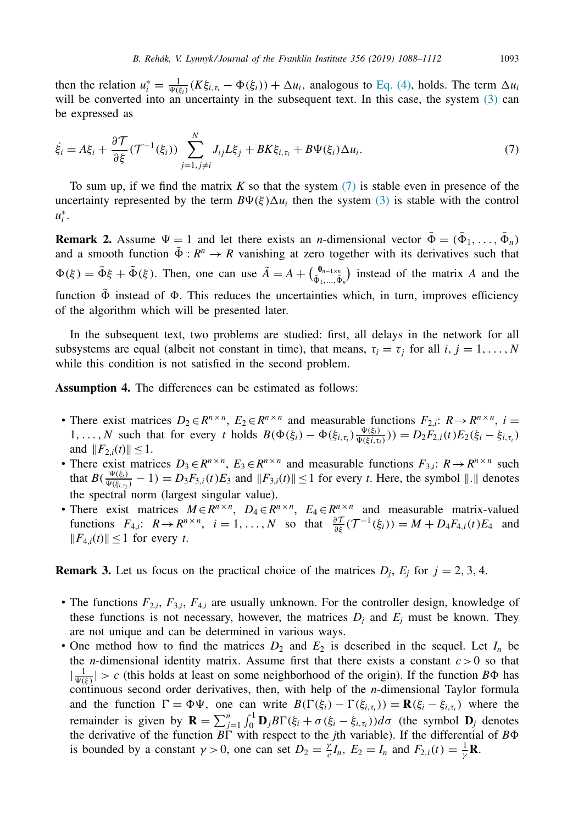<span id="page-5-0"></span>then the relation  $u_i^* = \frac{1}{\Psi(\xi_i)}(K\xi_{i,\tau_i} - \Phi(\xi_i)) + \Delta u_i$ , analogous to [Eq.](#page-4-0) (4), holds. The term  $\Delta u_i$ will be converted into an uncertainty in the subsequent text. In this case, the system  $(3)$  can be expressed as

$$
\dot{\xi}_i = A\xi_i + \frac{\partial \mathcal{T}}{\partial \xi}(\mathcal{T}^{-1}(\xi_i)) \sum_{j=1, j\neq i}^N J_{ij}L\xi_j + BK\xi_{i, \tau_i} + B\Psi(\xi_i)\Delta u_i.
$$
\n(7)

To sum up, if we find the matrix *K* so that the system (7) is stable even in presence of the uncertainty represented by the term  $B\Psi(\xi)\Delta u_i$  then the system [\(3\)](#page-4-0) is stable with the control *u*∗ *i* .

**Remark 2.** Assume  $\Psi = 1$  and let there exists an *n*-dimensional vector  $\Phi = (\Phi_1, \dots, \Phi_n)$ and a smooth function  $\tilde{\Phi}: R^n \to R$  vanishing at zero together with its derivatives such that  $\Phi(\xi) = \bar{\Phi}\xi + \tilde{\Phi}(\xi)$ . Then, one can use  $\tilde{A} = A + \begin{pmatrix} \Phi_{n-1 \times n} \\ \bar{\Phi}_{1},...,\bar{\Phi}_{n} \end{pmatrix}$  instead of the matrix *A* and the function  $\tilde{\Phi}$  instead of  $\Phi$ . This reduces the uncertainties which, in turn, improves efficiency of the algorithm which will be presented later.

In the subsequent text, two problems are studied: first, all delays in the network for all subsystems are equal (albeit not constant in time), that means,  $\tau_i = \tau_j$  for all *i*,  $j = 1, \ldots, N$ while this condition is not satisfied in the second problem.

**Assumption 4.** The differences can be estimated as follows:

- There exist matrices  $D_2 \in \mathbb{R}^{n \times n}$ ,  $E_2 \in \mathbb{R}^{n \times n}$  and measurable functions  $F_{2,i}: \mathbb{R} \to \mathbb{R}^{n \times n}$ ,  $i =$ 1, ..., *N* such that for every *t* holds  $B(\Phi(\xi_i) - \Phi(\xi_{i, \tau_i}) \frac{\Psi(\xi_i)}{\Psi(\xi_i, \tau_i)}) = D_2F_{2,i}(t)E_2(\xi_i - \xi_{i, \tau_i})$ and  $||F_{2,i}(t)|| \leq 1$ .
- There exist matrices  $D_3 \in R^{n \times n}$ ,  $E_3 \in R^{n \times n}$  and measurable functions  $F_{3,i}: R \to R^{n \times n}$  such that  $B(\frac{\Psi(\xi_i)}{\Psi(\xi_{i,\tau_i})} - 1) = D_3F_{3,i}(t)E_3$  and  $||F_{3,i}(t)|| \le 1$  for every *t*. Here, the symbol  $||.||$  denotes the spectral norm (largest singular value).
- There exist matrices  $M \in \mathbb{R}^{n \times n}$ ,  $D_4 \in \mathbb{R}^{n \times n}$ ,  $E_4 \in \mathbb{R}^{n \times n}$  and measurable matrix-valued functions  $F_{4,i}: R \to R^{n \times n}$ ,  $i = 1, ..., N$  so that  $\frac{\partial \mathcal{T}}{\partial \xi}(\mathcal{T}^{-1}(\xi_i)) = M + D_4 F_{4,i}(t) E_4$  and  $||F_{4,i}(t)||$  ≤ 1 for every *t*.

**Remark 3.** Let us focus on the practical choice of the matrices  $D_i$ ,  $E_i$  for  $j = 2, 3, 4$ .

- The functions *F*2,*<sup>i</sup>*, *F*3,*<sup>i</sup>*, *F*4,*<sup>i</sup>* are usually unknown. For the controller design, knowledge of these functions is not necessary, however, the matrices  $D_j$  and  $E_j$  must be known. They are not unique and can be determined in various ways.
- One method how to find the matrices  $D_2$  and  $E_2$  is described in the sequel. Let  $I_n$  be the *n*-dimensional identity matrix. Assume first that there exists a constant  $c > 0$  so that  $|\frac{1}{\Psi(\xi)}| > c$  (this holds at least on some neighborhood of the origin). If the function  $B\Phi$  has continuous second order derivatives, then, with help of the *n*-dimensional Taylor formula and the function  $\Gamma = \Phi \Psi$ , one can write  $B(\Gamma(\xi_i) - \Gamma(\xi_{i,\tau_i})) = \mathbf{R}(\xi_i - \xi_{i,\tau_i})$  where the remainder is given by  $\mathbf{R} = \sum_{j=1}^{n} \int_0^1 \mathbf{D}_j B \Gamma(\xi_i + \sigma(\xi_i - \xi_{i, \tau_i})) d\sigma$  (the symbol  $\mathbf{D}_j$  denotes the derivative of the function  $B\Gamma$  with respect to the *j*th variable). If the differential of  $B\Phi$ is bounded by a constant  $\gamma > 0$ , one can set  $D_2 = \frac{\gamma}{c} I_n$ ,  $E_2 = I_n$  and  $F_{2,i}(t) = \frac{1}{\gamma} \mathbf{R}$ .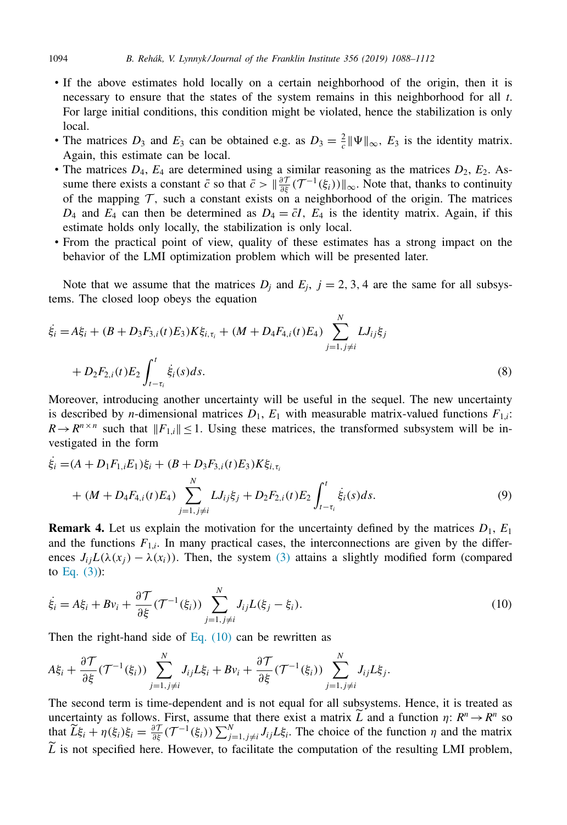- <span id="page-6-0"></span>• If the above estimates hold locally on a certain neighborhood of the origin, then it is necessary to ensure that the states of the system remains in this neighborhood for all *t*. For large initial conditions, this condition might be violated, hence the stabilization is only local.
- The matrices  $D_3$  and  $E_3$  can be obtained e.g. as  $D_3 = \frac{2}{c} ||\Psi||_{\infty}$ ,  $E_3$  is the identity matrix. Again, this estimate can be local.
- The matrices  $D_4$ ,  $E_4$  are determined using a similar reasoning as the matrices  $D_2$ ,  $E_2$ . Assume there exists a constant  $\bar{c}$  so that  $\bar{c} > ||\frac{\partial \mathcal{T}}{\partial \xi}(\mathcal{T}^{-1}(\xi_i))||_{\infty}$ . Note that, thanks to continuity of the mapping  $\mathcal T$ , such a constant exists on a neighborhood of the origin. The matrices  $D_4$  and  $E_4$  can then be determined as  $D_4 = \bar{c}I$ ,  $E_4$  is the identity matrix. Again, if this estimate holds only locally, the stabilization is only local.
- From the practical point of view, quality of these estimates has a strong impact on the behavior of the LMI optimization problem which will be presented later.

Note that we assume that the matrices  $D_j$  and  $E_j$ ,  $j = 2, 3, 4$  are the same for all subsystems. The closed loop obeys the equation

$$
\dot{\xi}_i = A\xi_i + (B + D_3F_{3,i}(t)E_3)K\xi_{i,\tau_i} + (M + D_4F_{4,i}(t)E_4) \sum_{j=1, j \neq i}^N LJ_{ij}\xi_j
$$
  
+  $D_2F_{2,i}(t)E_2 \int_{t-\tau_i}^t \dot{\xi}_i(s)ds.$  (8)

Moreover, introducing another uncertainty will be useful in the sequel. The new uncertainty is described by *n*-dimensional matrices  $D_1$ ,  $E_1$  with measurable matrix-valued functions  $F_{1,i}$ :  $R \rightarrow R^{n \times n}$  such that  $||F_{1,i}|| \leq 1$ . Using these matrices, the transformed subsystem will be investigated in the form

$$
\dot{\xi}_i = (A + D_1 F_{1,i} E_1) \xi_i + (B + D_3 F_{3,i}(t) E_3) K \xi_{i,\tau_i} \n+ (M + D_4 F_{4,i}(t) E_4) \sum_{j=1, j \neq i}^N L J_{ij} \xi_j + D_2 F_{2,i}(t) E_2 \int_{t-\tau_i}^t \dot{\xi}_i(s) ds.
$$
\n(9)

**Remark 4.** Let us explain the motivation for the uncertainty defined by the matrices  $D_1$ ,  $E_1$ and the functions  $F_{1,i}$ . In many practical cases, the interconnections are given by the differences  $J_{ij}L(\lambda(x_i) - \lambda(x_i))$ . Then, the system [\(3\)](#page-4-0) attains a slightly modified form (compared to [Eq.](#page-4-0)  $(3)$ :

$$
\dot{\xi}_i = A\xi_i + Bv_i + \frac{\partial \mathcal{T}}{\partial \xi}(\mathcal{T}^{-1}(\xi_i)) \sum_{j=1, j \neq i}^N J_{ij}L(\xi_j - \xi_i).
$$
\n(10)

Then the right-hand side of Eq.  $(10)$  can be rewritten as

$$
A\xi_i + \frac{\partial \mathcal{T}}{\partial \xi}(\mathcal{T}^{-1}(\xi_i)) \sum_{j=1, j\neq i}^N J_{ij}L\xi_i + Bv_i + \frac{\partial \mathcal{T}}{\partial \xi}(\mathcal{T}^{-1}(\xi_i)) \sum_{j=1, j\neq i}^N J_{ij}L\xi_j.
$$

The second term is time-dependent and is not equal for all subsystems. Hence, it is treated as uncertainty as follows. First, assume that there exist a matrix  $\overline{L}$  and a function  $\eta: R^n \to R^n$  so that  $\widetilde{L}\xi_i + \eta(\xi_i)\xi_i = \frac{\partial \mathcal{T}}{\partial \xi}(\mathcal{T}^{-1}(\xi_i))\sum_{j=1, j\neq i}^N J_{ij}L\xi_i$ . The choice of the function  $\eta$  and the matrix  $\tilde{L}$  is not specified here. However, to facilitate the computation of the resulting LMI problem,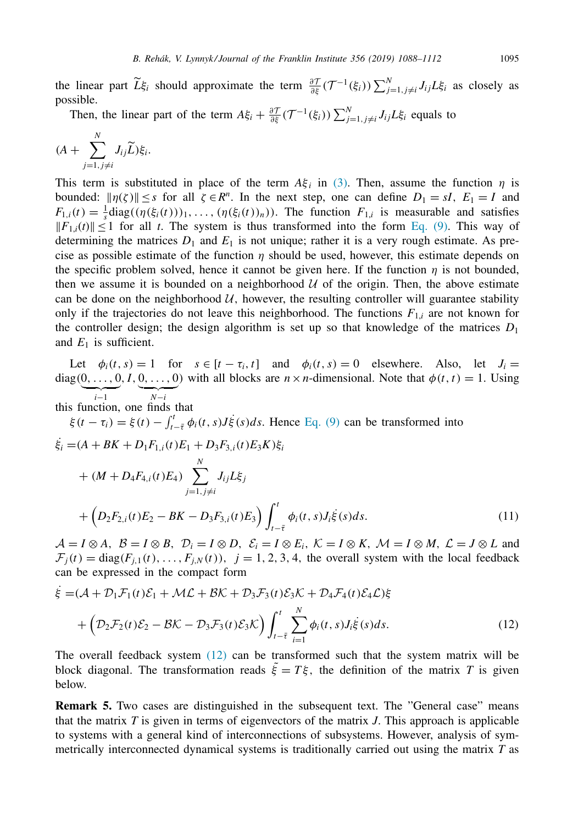<span id="page-7-0"></span>the linear part  $\widetilde{L}\xi_i$  should approximate the term  $\frac{\partial \mathcal{T}}{\partial \xi}(\mathcal{T}^{-1}(\xi_i))\sum_{j=1, j\neq i}^N J_{ij}L\xi_i$  as closely as possible.

Then, the linear part of the term  $A\xi_i + \frac{\partial \mathcal{T}}{\partial \xi}(\mathcal{T}^{-1}(\xi_i))\sum_{j=1, j\neq i}^N J_{ij}L\xi_i$  equals to

$$
(A + \sum_{j=1, j\neq i}^N J_{ij} \widetilde{L}) \xi_i.
$$

*N*

This term is substituted in place of the term  $A\xi_i$  in [\(3\).](#page-4-0) Then, assume the function  $\eta$  is bounded:  $||\eta(\zeta)|| \leq s$  for all  $\zeta \in \mathbb{R}^n$ . In the next step, one can define  $D_1 = sI$ ,  $E_1 = I$  and  $F_{1,i}(t) = \frac{1}{s} \text{diag}((\eta(\xi_i(t)))_1, \dots, (\eta(\xi_i(t))_n))$ . The function  $F_{1,i}$  is measurable and satisfies  $||F_{1,i}(t)|| \le 1$  for all *t*. The system is thus transformed into the form [Eq.](#page-6-0) (9). This way of determining the matrices  $D_1$  and  $E_1$  is not unique; rather it is a very rough estimate. As precise as possible estimate of the function  $\eta$  should be used, however, this estimate depends on the specific problem solved, hence it cannot be given here. If the function  $\eta$  is not bounded, then we assume it is bounded on a neighborhood  $U$  of the origin. Then, the above estimate can be done on the neighborhood  $U$ , however, the resulting controller will guarantee stability only if the trajectories do not leave this neighborhood. The functions  $F_{1,i}$  are not known for the controller design; the design algorithm is set up so that knowledge of the matrices  $D_1$ and  $E_1$  is sufficient.

Let  $\phi_i(t, s) = 1$  for  $s \in [t - \tau_i, t]$  and  $\phi_i(t, s) = 0$  elsewhere. Also, let  $J_i =$ diag(0, ..., 0, *I*, 0, ..., 0) with all blocks are  $n \times n$ -dimensional. Note that  $\phi(t, t) = 1$ . Using *<sup>i</sup>*−<sup>1</sup> *<sup>N</sup>*−*<sup>i</sup>*

this function, one finds that

 $\xi(t - \tau_i) = \xi(t) - \int_{t-\bar{\tau}}^t \phi_i(t, s) J \dot{\xi}(s) ds$ . Hence [Eq.](#page-6-0) (9) can be transformed into

$$
\dot{\xi}_i = (A + BK + D_1 F_{1,i}(t) E_1 + D_3 F_{3,i}(t) E_3 K) \xi_i \n+ (M + D_4 F_{4,i}(t) E_4) \sum_{j=1, j \neq i}^N J_{ij} L \xi_j \n+ (D_2 F_{2,i}(t) E_2 - BK - D_3 F_{3,i}(t) E_3) \int_{t-\bar{\tau}}^t \phi_i(t, s) J_i \dot{\xi}(s) ds.
$$
\n(11)

 $\mathcal{A} = I \otimes A, \ \mathcal{B} = I \otimes B, \ \mathcal{D}_i = I \otimes D, \ \mathcal{E}_i = I \otimes E_i, \ \mathcal{K} = I \otimes K, \ \mathcal{M} = I \otimes M, \ \mathcal{L} = J \otimes L$  and  $\mathcal{F}_i(t) = \text{diag}(F_{i,1}(t), \dots, F_{i,N}(t)), \quad j = 1, 2, 3, 4$ , the overall system with the local feedback can be expressed in the compact form

$$
\dot{\xi} = (\mathcal{A} + \mathcal{D}_1 \mathcal{F}_1(t)\mathcal{E}_1 + \mathcal{M}\mathcal{L} + \mathcal{B}\mathcal{K} + \mathcal{D}_3 \mathcal{F}_3(t)\mathcal{E}_3 \mathcal{K} + \mathcal{D}_4 \mathcal{F}_4(t)\mathcal{E}_4 \mathcal{L})\xi \n+ \left(\mathcal{D}_2 \mathcal{F}_2(t)\mathcal{E}_2 - \mathcal{B}\mathcal{K} - \mathcal{D}_3 \mathcal{F}_3(t)\mathcal{E}_3 \mathcal{K}\right) \int_{t-\bar{\tau}}^t \sum_{i=1}^N \phi_i(t,s) J_i \dot{\xi}(s) ds.
$$
\n(12)

The overall feedback system (12) can be transformed such that the system matrix will be block diagonal. The transformation reads  $\tilde{\xi} = T\xi$ , the definition of the matrix *T* is given below.

**Remark 5.** Two cases are distinguished in the subsequent text. The "General case" means that the matrix *T* is given in terms of eigenvectors of the matrix *J*. This approach is applicable to systems with a general kind of interconnections of subsystems. However, analysis of symmetrically interconnected dynamical systems is traditionally carried out using the matrix *T* as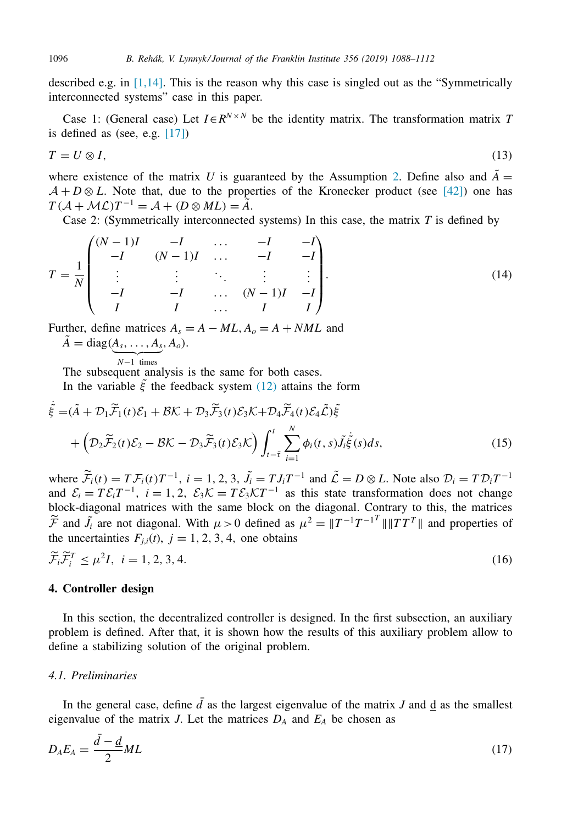described e.g. in  $[1,14]$ . This is the reason why this case is singled out as the "Symmetrically interconnected systems" case in this paper.

Case 1: (General case) Let  $I \in R^{N \times N}$  be the identity matrix. The transformation matrix *T* is defined as (see, e.g.  $[17]$ )

$$
T = U \otimes I,\tag{13}
$$

where existence of the matrix *U* is guaranteed by the Assumption [2.](#page-3-0) Define also and  $\ddot{A}$  =  $A + D \otimes L$ . Note that, due to the properties of the Kronecker product (see [\[42\]\)](#page-24-0) one has  $T(A + \mathcal{M} \mathcal{L})T^{-1} = \mathcal{A} + (D \otimes \mathcal{M} \mathcal{L}) = \tilde{A}.$ 

Case 2: (Symmetrically interconnected systems) In this case, the matrix *T* is defined by

$$
T = \frac{1}{N} \begin{pmatrix} (N-1)I & -I & \dots & -I & -I \\ -I & (N-1)I & \dots & -I & -I \\ \vdots & \vdots & \ddots & \vdots & \vdots \\ -I & -I & \dots & (N-1)I & -I \\ I & I & \dots & I & I \end{pmatrix}.
$$
 (14)

Further, define matrices  $A_s = A - ML$ ,  $A_o = A + NML$  and  $\tilde{A} = \text{diag}(A_s, \ldots, A_s, A_o).$ 

 $N-1$  times

The subsequent analysis is the same for both cases.

In the variable  $\tilde{\xi}$  the feedback system [\(12\)](#page-7-0) attains the form

$$
\dot{\tilde{\xi}} = (\tilde{A} + \mathcal{D}_1 \widetilde{\mathcal{F}}_1(t)\mathcal{E}_1 + \mathcal{B}\mathcal{K} + \mathcal{D}_3 \widetilde{\mathcal{F}}_3(t)\mathcal{E}_3\mathcal{K} + \mathcal{D}_4 \widetilde{\mathcal{F}}_4(t)\mathcal{E}_4 \widetilde{\mathcal{L}})\tilde{\xi} + \left(\mathcal{D}_2 \widetilde{\mathcal{F}}_2(t)\mathcal{E}_2 - \mathcal{B}\mathcal{K} - \mathcal{D}_3 \widetilde{\mathcal{F}}_3(t)\mathcal{E}_3\mathcal{K}\right) \int_{t-\bar{\tau}}^t \sum_{i=1}^N \phi_i(t,s)\tilde{J}_i \dot{\tilde{\xi}}(s)ds,
$$
\n(15)

where  $\widetilde{\mathcal{F}}_i(t) = T \mathcal{F}_i(t) T^{-1}$ ,  $i = 1, 2, 3, \widetilde{J}_i = T J_i T^{-1}$  and  $\widetilde{\mathcal{L}} = D \otimes L$ . Note also  $\mathcal{D}_i = T \mathcal{D}_i T^{-1}$ and  $\mathcal{E}_i = T \mathcal{E}_i T^{-1}$ ,  $i = 1, 2, \ \mathcal{E}_3 \mathcal{K} = T \mathcal{E}_3 \mathcal{K} T^{-1}$  as this state transformation does not change block-diagonal matrices with the same block on the diagonal. Contrary to this, the matrices  $\widetilde{\mathcal{F}}$  and  $\widetilde{J}_i$  are not diagonal. With  $\mu > 0$  defined as  $\mu^2 = \|T^{-1}T^{-1}T\| \|TT^T\|$  and properties of the uncertainties  $F_{i,i}(t)$ ,  $j = 1, 2, 3, 4$ , one obtains

$$
\widetilde{\mathcal{F}}_i \widetilde{\mathcal{F}}_i^T \le \mu^2 I, \quad i = 1, 2, 3, 4. \tag{16}
$$

#### **4. Controller design**

In this section, the decentralized controller is designed. In the first subsection, an auxiliary problem is defined. After that, it is shown how the results of this auxiliary problem allow to define a stabilizing solution of the original problem.

# *4.1. Preliminaries*

In the general case, define  $\bar{d}$  as the largest eigenvalue of the matrix *J* and <u>d</u> as the smallest eigenvalue of the matrix *J*. Let the matrices  $D_A$  and  $E_A$  be chosen as

$$
D_A E_A = \frac{\bar{d} - \underline{d}}{2} M L \tag{17}
$$

<span id="page-8-0"></span>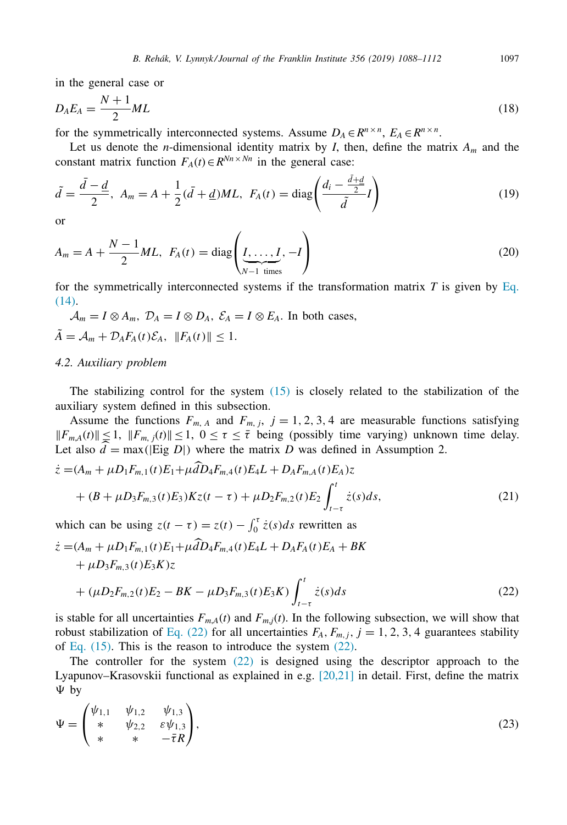<span id="page-9-0"></span>in the general case or

$$
D_A E_A = \frac{N+1}{2} M L \tag{18}
$$

for the symmetrically interconnected systems. Assume  $D_A \in \mathbb{R}^{n \times n}$ ,  $E_A \in \mathbb{R}^{n \times n}$ .

Let us denote the *n*-dimensional identity matrix by *I*, then, define the matrix *Am* and the constant matrix function  $F_A(t) \in R^{N_n \times N_n}$  in the general case:

$$
\tilde{d} = \frac{\bar{d} - \underline{d}}{2}, \ A_m = A + \frac{1}{2}(\bar{d} + \underline{d})ML, \ F_A(t) = \text{diag}\left(\frac{d_i - \frac{\bar{d} + \underline{d}}{2}}{\tilde{d}}I\right)
$$
(19)

or

$$
A_m = A + \frac{N-1}{2}ML, \ \ F_A(t) = \text{diag}\left(\underbrace{I, \dots, I}_{N-1 \text{ times}}, -I\right) \tag{20}
$$

for the symmetrically interconnected systems if the [transformation](#page-8-0) matrix  $T$  is given by Eq. (14).

$$
\mathcal{A}_m = I \otimes A_m, \ \mathcal{D}_A = I \otimes D_A, \ \mathcal{E}_A = I \otimes E_A.
$$
 In both cases,  

$$
\tilde{A} = \mathcal{A}_m + \mathcal{D}_A F_A(t) \mathcal{E}_A, \ \|F_A(t)\| \le 1.
$$

## *4.2. Auxiliary problem*

The stabilizing control for the system  $(15)$  is closely related to the stabilization of the auxiliary system defined in this subsection.

Assume the functions  $F_{m, A}$  and  $F_{m, j}$ ,  $j = 1, 2, 3, 4$  are measurable functions satisfying  $||F_{m,A}(t)|| \leq 1$ ,  $||F_{m,j}(t)|| \leq 1$ ,  $0 \leq \tau \leq \overline{\tau}$  being (possibly time varying) unknown time delay. Let also  $d = \max(|\text{Eig } D|)$  where the matrix *D* was defined in Assumption 2.

$$
\dot{z} = (A_m + \mu D_1 F_{m,1}(t) E_1 + \mu d D_4 F_{m,4}(t) E_4 L + D_A F_{m,4}(t) E_4) z + (B + \mu D_3 F_{m,3}(t) E_3) K z(t - \tau) + \mu D_2 F_{m,2}(t) E_2 \int_{t-\tau}^t \dot{z}(s) ds,
$$
\n(21)

which can be using  $z(t - \tau) = z(t) - \int_0^{\tau} \dot{z}(s)ds$  rewritten as

$$
\begin{split} \dot{z} &= (A_m + \mu D_1 F_{m,1}(t) E_1 + \mu \hat{d} D_4 F_{m,4}(t) E_4 L + D_A F_A(t) E_A + BK \\ &+ \mu D_3 F_{m,3}(t) E_3 K) z \\ &+ (\mu D_2 F_{m,2}(t) E_2 - BK - \mu D_3 F_{m,3}(t) E_3 K) \int_{t-\tau}^t \dot{z}(s) ds \end{split} \tag{22}
$$

is stable for all uncertainties  $F_{m,A}(t)$  and  $F_{m,j}(t)$ . In the following subsection, we will show that robust stabilization of Eq. (22) for all uncertainties  $F_A$ ,  $F_{m,j}$ ,  $j = 1, 2, 3, 4$  guarantees stability of Eq.  $(15)$ . This is the reason to introduce the system  $(22)$ .

The controller for the system (22) is designed using the descriptor approach to the Lyapunov–Krasovskii functional as explained in e.g. [\[20,21\]](#page-23-0) in detail. First, define the matrix  $\Psi$  by

$$
\Psi = \begin{pmatrix} \psi_{1,1} & \psi_{1,2} & \psi_{1,3} \\ * & \psi_{2,2} & \varepsilon \psi_{1,3} \\ * & * & -\bar{\tau}R \end{pmatrix},
$$
\n(23)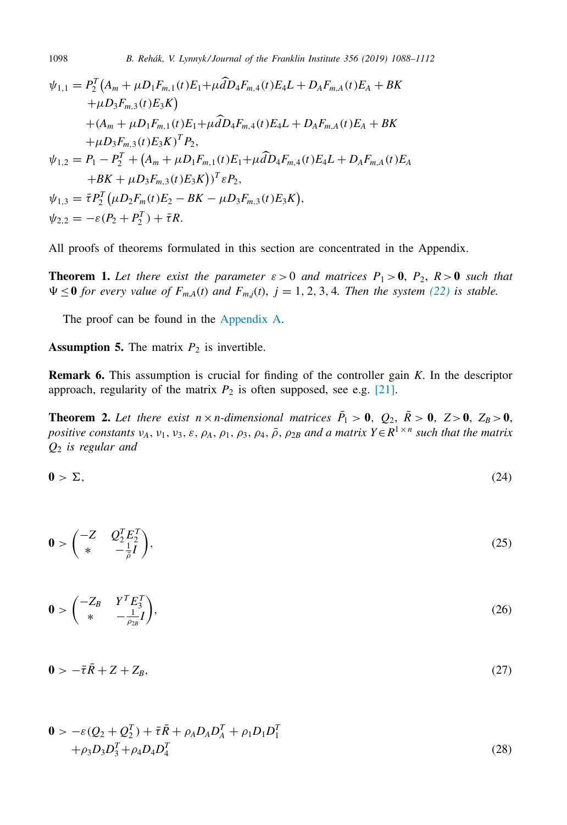$$
\psi_{1,1} = P_2^T (A_m + \mu D_1 F_{m,1}(t) E_1 + \mu \hat{d} D_4 F_{m,4}(t) E_4 L + D_A F_{m,A}(t) E_A + BK \n+ \mu D_3 F_{m,3}(t) E_3 K) \n+ (A_m + \mu D_1 F_{m,1}(t) E_1 + \mu \hat{d} D_4 F_{m,4}(t) E_4 L + D_A F_{m,A}(t) E_A + BK \n+ \mu D_3 F_{m,3}(t) E_3 K)^T P_2, \n\psi_{1,2} = P_1 - P_2^T + (A_m + \mu D_1 F_{m,1}(t) E_1 + \mu \hat{d} D_4 F_{m,4}(t) E_4 L + D_A F_{m,A}(t) E_A \n+ BK + \mu D_3 F_{m,3}(t) E_3 K)^T \varepsilon P_2, \n\psi_{1,3} = \bar{\tau} P_2^T (\mu D_2 F_m(t) E_2 - BK - \mu D_3 F_{m,3}(t) E_3 K), \n\psi_{2,2} = -\varepsilon (P_2 + P_2^T) + \bar{\tau} R.
$$

All proofs of theorems formulated in this section are concentrated in the Appendix.

**Theorem 1.** Let there exist the parameter  $\varepsilon > 0$  and matrices  $P_1 > 0$ ,  $P_2$ ,  $R > 0$  such that  $\Psi \leq 0$  for every value of  $F_{m,A}(t)$  and  $F_{m,j}(t)$ ,  $j = 1, 2, 3, 4$ . Then the system [\(22\)](#page-9-0) is stable.

The proof can be found in the [Appendix](#page-20-0) A.

**Assumption 5.** The matrix  $P_2$  is invertible.

**Remark 6.** This assumption is crucial for finding of the controller gain *K*. In the descriptor approach, regularity of the matrix  $P_2$  is often supposed, see e.g. [\[21\].](#page-24-0)

**Theorem 2.** Let there exist  $n \times n$ -dimensional matrices  $\bar{P}_1 > 0$ ,  $Q_2$ ,  $\bar{R} > 0$ ,  $Z > 0$ ,  $Z_B > 0$ , *positive constants*  $v_A$ ,  $v_1$ ,  $v_3$ ,  $\varepsilon$ ,  $\rho_A$ ,  $\rho_1$ ,  $\rho_3$ ,  $\rho_4$ ,  $\rho$ ,  $\rho_{2B}$  *and a matrix*  $Y \in R^{1 \times n}$  *such that the matrix Q*<sup>2</sup> *is regular and*

$$
0 > \Sigma,\tag{24}
$$

$$
0 > \begin{pmatrix} -Z & Q_2^T E_2^T \\ * & -\frac{1}{\beta}I \end{pmatrix},\tag{25}
$$

$$
\mathbf{0} > \begin{pmatrix} -Z_B & Y^T E_3^T \\ * & -\frac{1}{\rho_{2B}} I \end{pmatrix},\tag{26}
$$

$$
0 > -\bar{\tau}\bar{R} + Z + Z_B, \tag{27}
$$

$$
\mathbf{0} > -\varepsilon (Q_2 + Q_2^T) + \bar{\tau}\bar{R} + \rho_A D_A D_A^T + \rho_1 D_1 D_1^T + \rho_3 D_3 D_3^T + \rho_4 D_4 D_4^T
$$
\n(28)

<span id="page-10-0"></span>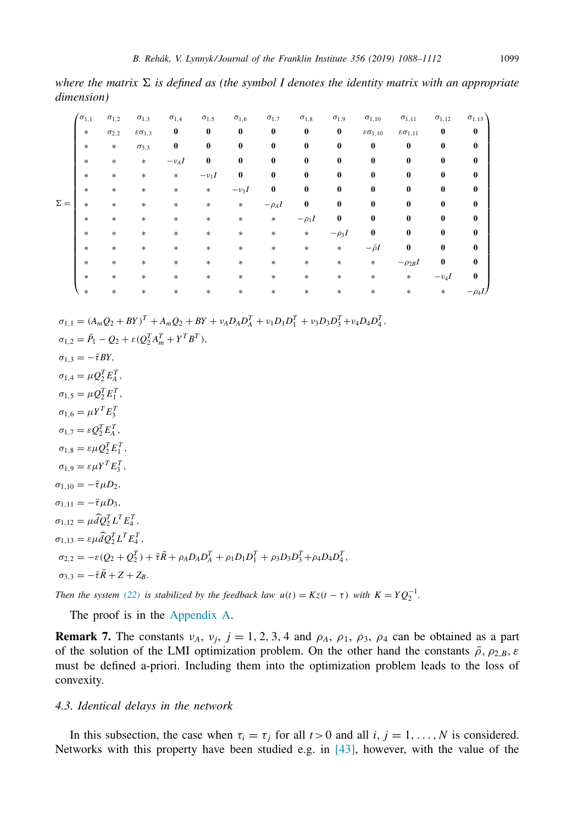*where* the matrix  $\Sigma$  is defined as (the symbol I denotes the identity matrix with an appropriate *dimension)*

|            | $\sigma_{1,1}$ | $\sigma_{1,2}$ | $\sigma_{1,3}$          | $\sigma_{1,4}$ | $\sigma_{1,5}$ | $\sigma_{1,6}$ | $\sigma_{1,7}$ | $\sigma_{1,8}$ | $\sigma_{1,9}$ | $\sigma_{1,10}$            | $\sigma_{1,11}$          | $\sigma_{1,12}$ | $\sigma_{1,13}$ |
|------------|----------------|----------------|-------------------------|----------------|----------------|----------------|----------------|----------------|----------------|----------------------------|--------------------------|-----------------|-----------------|
|            | $\ast$         | $\sigma_{2,2}$ | $\epsilon \sigma_{1,3}$ | 0              | $\bf{0}$       | $\bf{0}$       | $\bf{0}$       | $\bf{0}$       | $\bf{0}$       | $\varepsilon\sigma_{1,10}$ | $\epsilon \sigma_{1,11}$ | $\bf{0}$        | $\bf{0}$        |
|            | $\ast$         | $\ast$         | $\sigma_{3,3}$          | 0              | $\bf{0}$       | $\bf{0}$       | $\bf{0}$       | $\bf{0}$       | $\bf{0}$       | $\bf{0}$                   | $\bf{0}$                 | 0               | $\bf{0}$        |
|            | $\ast$         | $\ast$         | $\ast$                  | $-\nu_A I$     | $\bf{0}$       | $\bf{0}$       | 0              | $\bf{0}$       | 0              | 0                          | 0                        | 0               | $\bf{0}$        |
|            | $\ast$         | $\ast$         | $\ast$                  | $\ast$         | $-\nu_1 I$     | $\bf{0}$       | $\bf{0}$       | $\bf{0}$       | 0              | 0                          | 0                        | 0               | $\bf{0}$        |
|            | $\ast$         | $\ast$         | $\ast$                  | $\ast$         | $\ast$         | $-\nu_3I$      | 0              | $\bf{0}$       | 0              | 0                          | $\bf{0}$                 | 0               | $\bf{0}$        |
| $\Sigma =$ | $\ast$         | *              | $\ast$                  | $\ast$         | $\ast$         | $\ast$         | $-\rho_A I$    | $\bf{0}$       | 0              | 0                          | $\bf{0}$                 | 0               | $\bf{0}$        |
|            | $\ast$         | $\ast$         | $\ast$                  | $\ast$         | $\ast$         | $\ast$         | $\ast$         | $-\rho_1 I$    | 0              | 0                          | 0                        | 0               | 0               |
|            | $\ast$         | $\ast$         | $\ast$                  | $\ast$         | $\ast$         | $\ast$         | $\ast$         | $\ast$         | $-\rho_3I$     | 0                          | $\bf{0}$                 | 0               | 0               |
|            | $\ast$         | *              | $\ast$                  | $\ast$         | $\ast$         | $\ast$         | $\ast$         | $\ast$         | $\ast$         | $-\bar{\rho}I$             | $\bf{0}$                 | 0               | $\bf{0}$        |
|            | $\ast$         | $\ast$         | $\ast$                  | $\ast$         | $\ast$         | $\ast$         | $\ast$         | $\ast$         | $\ast$         | $\ast$                     | $-\rho_{2B}I$            | 0               | $\bf{0}$        |
|            | $\ast$         | $\ast$         | $\ast$                  | $\ast$         | $\ast$         | $\ast$         | $\ast$         | $\ast$         | $\ast$         | $\ast$                     | $\ast$                   | $-\nu_4I$       | $\bf{0}$        |
|            | $\ast$         | *              | $\ast$                  | $\ast$         | *              | $\ast$         | $\ast$         | *              | $\ast$         | $\ast$                     | $\ast$                   | $\ast$          |                 |

$$
\sigma_{1,1} = (A_m Q_2 + BY)^T + A_m Q_2 + BY + v_A D_A D_A^T + v_1 D_1 D_1^T + v_3 D_3 D_3^T + v_4 D_4 D_4^T,
$$

 $\sigma_{1,2} = \bar{P}_1 - Q_2 + \varepsilon (Q_2^T A_m^T + Y^T B^T),$  $\sigma_{1,3} = -\bar{\tau}BY$ ,  $\sigma_{1,4} = \mu Q_2^T E_A^T$  $\sigma_{1,5} = \mu Q_2^T E_1^T$ ,  $\sigma_{1,6} = \mu Y^T E_3^T$  $\sigma_{1,7} = \varepsilon Q_2^T E_A^T$ ,  $\sigma_{1,8} = \varepsilon \mu Q_2^T E_1^T$ ,  $\sigma_{1,9} = \varepsilon \mu Y^T E_3^T$ ,  $\sigma_{1,10} = -\bar{\tau} \mu D_2$ ,  $\sigma_{1,11} = -\bar{\tau} \mu D_3,$  $\sigma_{1,12} = \mu \hat{d} Q_2^T L^T E_4^T,$  $\sigma_{1,13} = \varepsilon \mu \widehat{d} Q_2^T L^T E_4^T,$  $\sigma_{2,2} = -\varepsilon (Q_2 + Q_2^T) + \bar{\tau} \bar{R} + \rho_A D_A D_A^T + \rho_1 D_1 D_1^T + \rho_3 D_3 D_3^T + \rho_4 D_4 D_4^T$  $\sigma_3 = -\bar{\tau}\bar{R} + Z + Z_R$ .

*Then the system* [\(22\)](#page-9-0) *is stabilized by the feedback law*  $u(t) = Kz(t - \tau)$  *with*  $K = YQ_2^{-1}$ .

The proof is in the [Appendix](#page-20-0) A.

**Remark 7.** The constants  $v_A$ ,  $v_j$ ,  $j = 1, 2, 3, 4$  and  $\rho_A$ ,  $\rho_1$ ,  $\rho_3$ ,  $\rho_4$  can be obtained as a part of the solution of the LMI optimization problem. On the other hand the constants  $\bar{\rho}$ ,  $\rho_{2,B}$ ,  $\varepsilon$ must be defined a-priori. Including them into the optimization problem leads to the loss of convexity.

## *4.3. Identical delays in the network*

In this subsection, the case when  $\tau_i = \tau_j$  for all  $t > 0$  and all *i*,  $j = 1, \ldots, N$  is considered. Networks with this property have been studied e.g. in [\[43\],](#page-24-0) however, with the value of the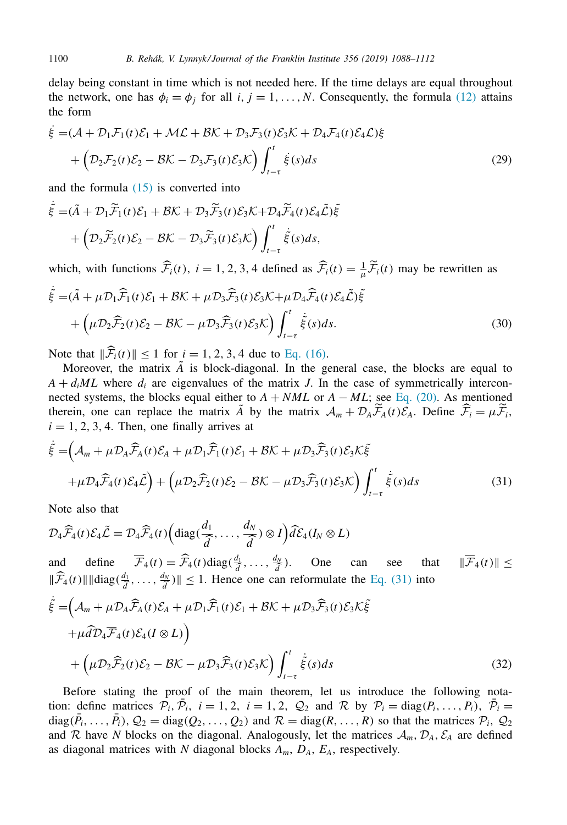delay being constant in time which is not needed here. If the time delays are equal throughout the network, one has  $\phi_i = \phi_j$  for all *i*,  $j = 1, ..., N$ . Consequently, the formula [\(12\)](#page-7-0) attains the form

$$
\dot{\xi} = (\mathcal{A} + \mathcal{D}_1 \mathcal{F}_1(t)\mathcal{E}_1 + \mathcal{M}\mathcal{L} + \mathcal{B}\mathcal{K} + \mathcal{D}_3 \mathcal{F}_3(t)\mathcal{E}_3 \mathcal{K} + \mathcal{D}_4 \mathcal{F}_4(t)\mathcal{E}_4 \mathcal{L})\xi + \left(\mathcal{D}_2 \mathcal{F}_2(t)\mathcal{E}_2 - \mathcal{B}\mathcal{K} - \mathcal{D}_3 \mathcal{F}_3(t)\mathcal{E}_3 \mathcal{K}\right) \int_{t-\tau}^t \dot{\xi}(s)ds
$$
\n(29)

and the formula  $(15)$  is converted into

$$
\dot{\tilde{\xi}} = (\tilde{A} + \mathcal{D}_1 \widetilde{\mathcal{F}}_1(t) \mathcal{E}_1 + \mathcal{B} \mathcal{K} + \mathcal{D}_3 \widetilde{\mathcal{F}}_3(t) \mathcal{E}_3 \mathcal{K} + \mathcal{D}_4 \widetilde{\mathcal{F}}_4(t) \mathcal{E}_4 \widetilde{\mathcal{L}}) \tilde{\xi} + \left( \mathcal{D}_2 \widetilde{\mathcal{F}}_2(t) \mathcal{E}_2 - \mathcal{B} \mathcal{K} - \mathcal{D}_3 \widetilde{\mathcal{F}}_3(t) \mathcal{E}_3 \mathcal{K} \right) \int_{t-\tau}^t \dot{\tilde{\xi}}(s) ds,
$$

which, with functions  $\widehat{F}_i(t)$ ,  $i = 1, 2, 3, 4$  defined as  $\widehat{F}_i(t) = \frac{1}{\mu} \widetilde{F}_i(t)$  may be rewritten as

$$
\dot{\tilde{\xi}} = (\tilde{A} + \mu \mathcal{D}_1 \widehat{\mathcal{F}}_1(t) \mathcal{E}_1 + \mathcal{B} \mathcal{K} + \mu \mathcal{D}_3 \widehat{\mathcal{F}}_3(t) \mathcal{E}_3 \mathcal{K} + \mu \mathcal{D}_4 \widehat{\mathcal{F}}_4(t) \mathcal{E}_4 \tilde{\mathcal{L}}) \tilde{\xi} + \left( \mu \mathcal{D}_2 \widehat{\mathcal{F}}_2(t) \mathcal{E}_2 - \mathcal{B} \mathcal{K} - \mu \mathcal{D}_3 \widehat{\mathcal{F}}_3(t) \mathcal{E}_3 \mathcal{K} \right) \int_{t-\tau}^t \dot{\tilde{\xi}}(s) ds.
$$
\n(30)

Note that  $||\mathcal{F}_i(t)|| \le 1$  for  $i = 1, 2, 3, 4$  due to Eq. [\(16\).](#page-8-0)

Moreover, the matrix  $\tilde{A}$  is block-diagonal. In the general case, the blocks are equal to  $A + d_iML$  where  $d_i$  are eigenvalues of the matrix *J*. In the case of symmetrically interconnected systems, the blocks equal either to  $A + NML$  or  $A - ML$ ; see Eq. [\(20\).](#page-9-0) As mentioned therein, one can replace the matrix  $\tilde{A}$  by the matrix  $\mathcal{A}_m + \mathcal{D}_A \tilde{\mathcal{F}}_A(t) \tilde{\mathcal{E}}_A$ . Define  $\hat{\mathcal{F}}_i = \mu \tilde{\mathcal{F}}_i$ ,  $i = 1, 2, 3, 4$ . Then, one finally arrives at

$$
\dot{\tilde{\xi}} = (\mathcal{A}_m + \mu \mathcal{D}_A \widehat{\mathcal{F}}_A(t) \mathcal{E}_A + \mu \mathcal{D}_1 \widehat{\mathcal{F}}_1(t) \mathcal{E}_1 + \mathcal{B} \mathcal{K} + \mu \mathcal{D}_3 \widehat{\mathcal{F}}_3(t) \mathcal{E}_3 \mathcal{K} \tilde{\xi} \n+ \mu \mathcal{D}_4 \widehat{\mathcal{F}}_4(t) \mathcal{E}_4 \tilde{\mathcal{L}} + (\mu \mathcal{D}_2 \widehat{\mathcal{F}}_2(t) \mathcal{E}_2 - \mathcal{B} \mathcal{K} - \mu \mathcal{D}_3 \widehat{\mathcal{F}}_3(t) \mathcal{E}_3 \mathcal{K}) \int_{t-\tau}^t \dot{\tilde{\xi}}(s) ds
$$
\n(31)

Note also that

$$
\mathcal{D}_4\widehat{\mathcal{F}}_4(t)\mathcal{E}_4\widetilde{\mathcal{L}}=\mathcal{D}_4\widehat{\mathcal{F}}_4(t)\Big(\mathrm{diag}(\frac{d_1}{\widehat{d}},\ldots,\frac{d_N}{\widehat{d}})\otimes I\Big)\widehat{d}\mathcal{E}_4(I_N\otimes L)
$$

and define  $\overline{\mathcal{F}}_4(t) = \widehat{\mathcal{F}}_4(t) \operatorname{diag}(\frac{d_1}{d}, \dots, \frac{d_N}{d})$  $\frac{\sqrt{x}}{a}$ ). One can see that  $\|\mathcal{F}_4(t)\| \le$  $\|\widehat{\mathcal{F}}_4(t)\|$  diag $(\frac{d_1}{d}, \ldots, \frac{d_N}{d})\| \le 1$ . Hence one can reformulate the Eq. (31) into

$$
\dot{\tilde{\xi}} = (\mathcal{A}_m + \mu \mathcal{D}_A \widehat{\mathcal{F}}_A(t) \mathcal{E}_A + \mu \mathcal{D}_1 \widehat{\mathcal{F}}_1(t) \mathcal{E}_1 + \mathcal{B} \mathcal{K} + \mu \mathcal{D}_3 \widehat{\mathcal{F}}_3(t) \mathcal{E}_3 \mathcal{K} \tilde{\xi} \n+ \mu \widehat{d} \mathcal{D}_4 \overline{\mathcal{F}}_4(t) \mathcal{E}_4(I \otimes L) \bigg) \n+ (\mu \mathcal{D}_2 \widehat{\mathcal{F}}_2(t) \mathcal{E}_2 - \mathcal{B} \mathcal{K} - \mu \mathcal{D}_3 \widehat{\mathcal{F}}_3(t) \mathcal{E}_3 \mathcal{K}) \int_{t-\tau}^t \dot{\tilde{\xi}}(s) ds
$$
\n(32)

Before stating the proof of the main theorem, let us introduce the following notation: define matrices  $\mathcal{P}_i$ ,  $\mathcal{P}_i$ ,  $i = 1, 2, i = 1, 2, \mathcal{Q}_2$  and  $\mathcal{R}$  by  $\mathcal{P}_i = \text{diag}(P_i, \dots, P_i)$ ,  $\mathcal{P}_i =$  $diag(\overline{P}_i, \ldots, \overline{P}_i), Q_2 = diag(Q_2, \ldots, Q_2)$  and  $R = diag(R, \ldots, R)$  so that the matrices  $P_i, Q_2$ and R have N blocks on the diagonal. Analogously, let the matrices  $A_m$ ,  $D_A$ ,  $\mathcal{E}_A$  are defined as diagonal matrices with  $N$  diagonal blocks  $A_m$ ,  $D_A$ ,  $E_A$ , respectively.

<span id="page-12-0"></span>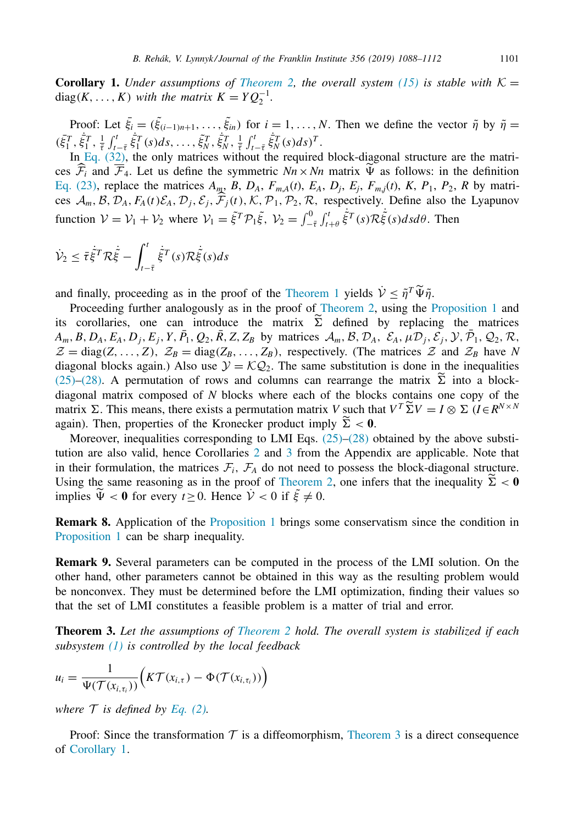<span id="page-13-0"></span>**Corollary 1.** *Under assumptions of [Theorem](#page-10-0)* 2, *the overall system* [\(15\)](#page-8-0) *is stable with*  $K =$  $diag(K, \ldots, K)$  *with the matrix*  $K = YQ_2^{-1}$ .

Proof: Let  $\bar{\xi}_i = (\tilde{\xi}_{(i-1)n+1}, \ldots, \tilde{\xi}_m)$  for  $i = 1, \ldots, N$ . Then we define the vector  $\tilde{\eta}$  by  $\tilde{\eta} =$  $(\bar{\xi}_1^T, \dot{\bar{\xi}}_1^T, \frac{1}{\bar{\tau}} \int_{t-\bar{\tau}}^t \dot{\bar{\xi}}_1^T(s) ds, \ldots, \bar{\xi}_N^T, \dot{\bar{\xi}}_N^T, \frac{1}{\bar{\tau}} \int_{t-\bar{\tau}}^t \dot{\bar{\xi}}_N^T(s) ds)^T.$ 

In Eq. [\(32\),](#page-12-0) the only matrices without the required block-diagonal structure are the matrices  $\mathcal{F}_i$  and  $\mathcal{F}_4$ . Let us define the symmetric  $Nn \times Nn$  matrix  $\Psi$  as follows: in the definition Eq. [\(23\),](#page-9-0) replace the matrices  $A_m$ ,  $B$ ,  $D_A$ ,  $F_{m,A}(t)$ ,  $E_A$ ,  $D_j$ ,  $E_j$ ,  $F_{m,j}(t)$ ,  $K$ ,  $P_1$ ,  $P_2$ ,  $R$  by matrices  $\mathcal{A}_m$ ,  $\mathcal{B}, \mathcal{D}_A, F_A(t)\mathcal{E}_A, \mathcal{D}_j, \mathcal{E}_j, \mathcal{F}_j(t), \mathcal{K}, \mathcal{P}_1, \mathcal{P}_2, \mathcal{R}$ , respectively. Define also the Lyapunov function  $V = V_1 + V_2$  where  $V_1 = \tilde{\xi}^T \mathcal{P}_1 \tilde{\xi}$ ,  $V_2 = \int_{-\bar{\tau}}^0 \int_{t+\theta}^t$  $\dot{\tilde{\xi}}^T(s)\mathcal{R}\dot{\tilde{\xi}}(s)dsd\theta$ . Then

$$
\dot{\mathcal{V}}_2 \leq \bar{\tau} \dot{\tilde{\xi}}^T \mathcal{R} \dot{\tilde{\xi}} - \int_{t-\bar{\tau}}^t \dot{\tilde{\xi}}^T(s) \mathcal{R} \dot{\tilde{\xi}}(s) ds
$$

and finally, proceeding as in the proof of the [Theorem](#page-10-0) 1 yields  $\dot{\mathcal{V}} < \tilde{\eta}^T \widetilde{\Psi} \tilde{\eta}$ .

Proceeding further analogously as in the proof of [Theorem](#page-10-0) 2, using the [Proposition](#page-21-0) 1 and its corollaries, one can introduce the matrix  $\tilde{\Sigma}$  defined by replacing the matrices  $A_m$ , B,  $D_A$ ,  $E_A$ ,  $D_j$ ,  $E_j$ ,  $Y$ ,  $\overline{P}_1$ ,  $Q_2$ ,  $\overline{R}$ ,  $Z$ ,  $Z_B$  by matrices  $\mathcal{A}_m$ ,  $\mathcal{B}$ ,  $\mathcal{D}_A$ ,  $\mathcal{E}_A$ ,  $\mu \mathcal{D}_j$ ,  $\mathcal{E}_j$ ,  $\mathcal{Y}$ ,  $\overline{\mathcal{P}}_1$ ,  $Q_2$ ,  $\mathcal{R}$ ,  $\mathcal{Z} = \text{diag}(Z, \ldots, Z),$   $\mathcal{Z}_B = \text{diag}(Z_B, \ldots, Z_B)$ , respectively. (The matrices  $\mathcal{Z}$  and  $\mathcal{Z}_B$  have *N* diagonal blocks again.) Also use  $\mathcal{Y} = \mathcal{K} \mathcal{Q}_2$ . The same substitution is done in the inequalities [\(25\)–\(28\).](#page-10-0) A permutation of rows and columns can rearrange the matrix  $\Sigma$  into a blockdiagonal matrix composed of *N* blocks where each of the blocks contains one copy of the matrix  $\Sigma$ . This means, there exists a permutation matrix *V* such that  $V^T \widetilde{\Sigma} V = I \otimes \Sigma (I \in R^{N \times N})$ again). Then, properties of the Kronecker product imply  $\tilde{\Sigma} < 0$ .

Moreover, inequalities corresponding to LMI Eqs.  $(25)$ – $(28)$  obtained by the above substitution are also valid, hence Corollaries [2](#page-21-0) and [3](#page-21-0) from the Appendix are applicable. Note that in their formulation, the matrices  $\mathcal{F}_i$ ,  $\mathcal{F}_A$  do not need to possess the block-diagonal structure. Using the same reasoning as in the proof of [Theorem](#page-10-0) 2, one infers that the inequality  $\tilde{\Sigma} < 0$ implies  $\tilde{\Psi} < 0$  for every  $t \ge 0$ . Hence  $\dot{\mathcal{V}} < 0$  if  $\tilde{\xi} \ne 0$ .

**Remark 8.** Application of the [Proposition](#page-21-0) 1 brings some conservatism since the condition in [Proposition](#page-21-0) 1 can be sharp inequality.

**Remark 9.** Several parameters can be computed in the process of the LMI solution. On the other hand, other parameters cannot be obtained in this way as the resulting problem would be nonconvex. They must be determined before the LMI optimization, finding their values so that the set of LMI constitutes a feasible problem is a matter of trial and error.

**Theorem 3.** *Let the assumptions of [Theorem](#page-10-0) 2 hold. The overall system is stabilized if each subsystem [\(1\)](#page-3-0) is controlled by the local feedback*

$$
u_i = \frac{1}{\Psi(\mathcal{T}(x_{i,\tau_i}))}\Big(K\mathcal{T}(x_{i,\tau}) - \Phi(\mathcal{T}(x_{i,\tau_i}))\Big)
$$

*where*  $T$  *is defined by [Eq.](#page-4-0)* (2).

Proof: Since the transformation  $\mathcal T$  is a diffeomorphism, Theorem 3 is a direct consequence of Corollary 1.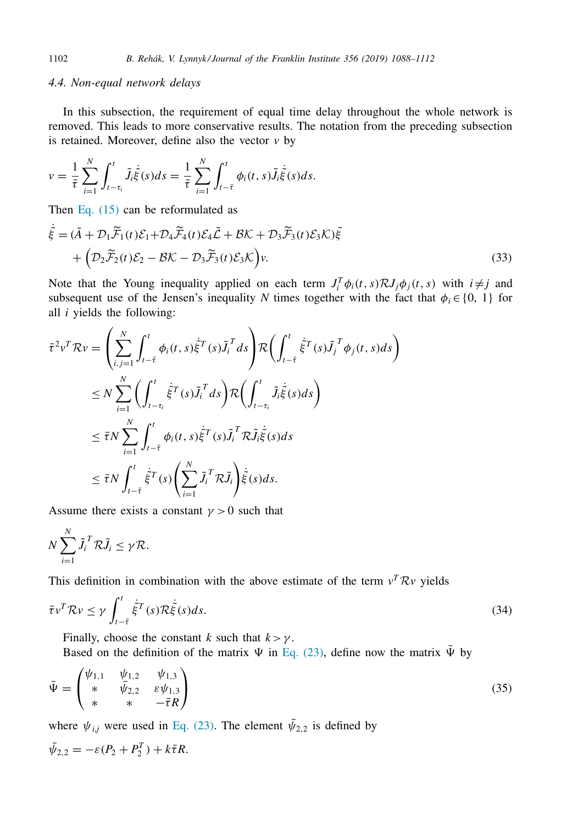#### <span id="page-14-0"></span>*4.4. Non-equal network delays*

In this subsection, the requirement of equal time delay throughout the whole network is removed. This leads to more conservative results. The notation from the preceding subsection is retained. Moreover, define also the vector  $v$  by

$$
v = \frac{1}{\bar{\tau}} \sum_{i=1}^{N} \int_{t-\tau_i}^{t} \tilde{J}_i \dot{\tilde{\xi}}(s) ds = \frac{1}{\bar{\tau}} \sum_{i=1}^{N} \int_{t-\bar{\tau}}^{t} \phi_i(t,s) \tilde{J}_i \dot{\tilde{\xi}}(s) ds.
$$

Then Eq.  $(15)$  can be reformulated as

$$
\dot{\tilde{\xi}} = (\tilde{A} + \mathcal{D}_1 \tilde{\mathcal{F}}_1(t) \mathcal{E}_1 + \mathcal{D}_4 \tilde{\mathcal{F}}_4(t) \mathcal{E}_4 \tilde{\mathcal{L}} + \mathcal{B} \mathcal{K} + \mathcal{D}_3 \tilde{\mathcal{F}}_3(t) \mathcal{E}_3 \mathcal{K}) \tilde{\xi} + \left( \mathcal{D}_2 \tilde{\mathcal{F}}_2(t) \mathcal{E}_2 - \mathcal{B} \mathcal{K} - \mathcal{D}_3 \tilde{\mathcal{F}}_3(t) \mathcal{E}_3 \mathcal{K} \right) v.
$$
\n(33)

Note that the Young inequality applied on each term  $J_i^T \phi_i(t, s) \mathcal{R} J_j \phi_j(t, s)$  with  $i \neq j$  and subsequent use of the Jensen's inequality *N* times together with the fact that  $\phi_i \in \{0, 1\}$  for all *i* yields the following:

$$
\begin{split}\n\bar{\tau}^{2}v^{T}\mathcal{R}v &= \left(\sum_{i,j=1}^{N} \int_{t-\bar{\tau}}^{t} \phi_{i}(t,s)\dot{\tilde{\xi}}^{T}(s)\tilde{J}_{i}^{T}ds\right) \mathcal{R}\left(\int_{t-\bar{\tau}}^{t} \dot{\tilde{\xi}}^{T}(s)\tilde{J}_{j}^{T}\phi_{j}(t,s)ds\right) \\
&\leq N \sum_{i=1}^{N} \left(\int_{t-\tau_{i}}^{t} \dot{\tilde{\xi}}^{T}(s)\tilde{J}_{i}^{T}ds\right) \mathcal{R}\left(\int_{t-\tau_{i}}^{t} \tilde{J}_{i}\dot{\tilde{\xi}}(s)ds\right) \\
&\leq \bar{\tau}N \sum_{i=1}^{N} \int_{t-\bar{\tau}}^{t} \phi_{i}(t,s)\dot{\tilde{\xi}}^{T}(s)\tilde{J}_{i}^{T}\mathcal{R}\tilde{J}_{i}\dot{\tilde{\xi}}(s)ds \\
&\leq \bar{\tau}N \int_{t-\bar{\tau}}^{t} \dot{\tilde{\xi}}^{T}(s) \left(\sum_{i=1}^{N} \tilde{J}_{i}^{T}\mathcal{R}\tilde{J}_{i}\right) \dot{\tilde{\xi}}(s)ds.\n\end{split}
$$

Assume there exists a constant  $\gamma > 0$  such that

$$
N\sum_{i=1}^N \tilde{J}_i^T \mathcal{R}\tilde{J}_i \leq \gamma \mathcal{R}.
$$

This definition in combination with the above estimate of the term  $v^T R v$  yields

$$
\bar{\tau}v^T \mathcal{R}v \le \gamma \int_{t-\bar{\tau}}^t \dot{\tilde{\xi}}^T(s) \mathcal{R}\dot{\tilde{\xi}}(s)ds.
$$
\n(34)

Finally, choose the constant *k* such that  $k > \gamma$ .

Based on the definition of the matrix  $\Psi$  in Eq. [\(23\),](#page-9-0) define now the matrix  $\overline{\Psi}$  by

$$
\bar{\Psi} = \begin{pmatrix} \psi_{1,1} & \psi_{1,2} & \psi_{1,3} \\ * & \bar{\psi}_{2,2} & \varepsilon \psi_{1,3} \\ * & * & -\bar{\tau}R \end{pmatrix}
$$
(35)

where  $\psi_{i,j}$  were used in Eq. [\(23\).](#page-9-0) The element  $\bar{\psi}_{2,2}$  is defined by

$$
\bar{\psi}_{2,2}=-\varepsilon(P_2+P_2^T)+k\bar{\tau}R.
$$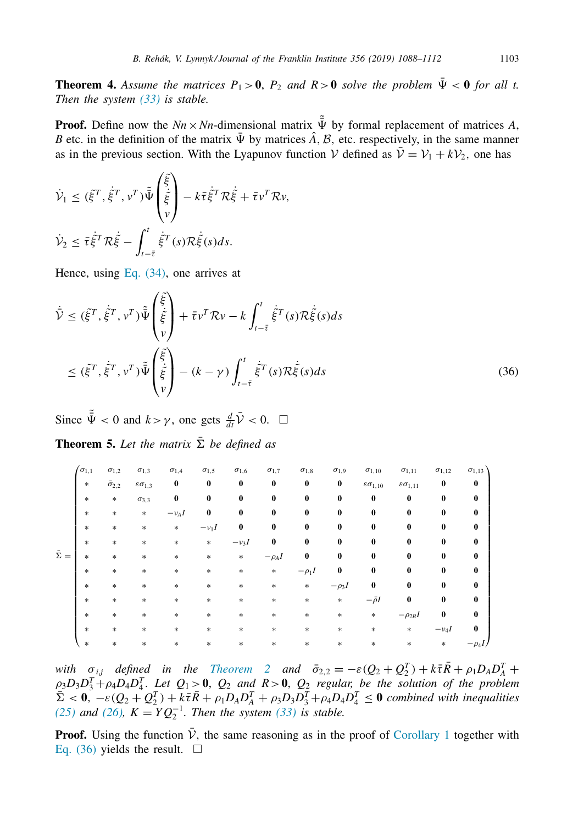<span id="page-15-0"></span>**Theorem 4.** Assume the matrices  $P_1 > 0$ ,  $P_2$  and  $R > 0$  solve the problem  $\bar{\Psi} < 0$  for all t. *Then the system [\(33\)](#page-14-0) is stable.*

**Proof.** Define now the  $Nn \times Nn$ -dimensional matrix  $\tilde{\Psi}$  by formal replacement of matrices A, *B* etc. in the definition of the matrix  $\overline{\Psi}$  by matrices  $\hat{A}$ ,  $\hat{B}$ , etc. respectively, in the same manner as in the previous section. With the Lyapunov function  $V$  defined as  $\overline{V} = V_1 + kV_2$ , one has

$$
\dot{\mathcal{V}}_1 \leq (\tilde{\xi}^T, \dot{\tilde{\xi}}^T, \nu^T) \tilde{\tilde{\Psi}} \begin{pmatrix} \tilde{\xi} \\ \dot{\tilde{\xi}} \\ \nu \end{pmatrix} - k \bar{\tau} \dot{\tilde{\xi}}^T \mathcal{R} \dot{\tilde{\xi}} + \bar{\tau} \nu^T \mathcal{R} \nu,
$$
\n
$$
\dot{\mathcal{V}}_2 \leq \bar{\tau} \dot{\tilde{\xi}}^T \mathcal{R} \dot{\tilde{\xi}} - \int_{t-\bar{\tau}}^t \dot{\tilde{\xi}}^T (s) \mathcal{R} \dot{\tilde{\xi}} (s) ds.
$$

Hence, using Eq. [\(34\),](#page-14-0) one arrives at

$$
\dot{\tilde{V}} \leq (\tilde{\xi}^T, \dot{\tilde{\xi}}^T, v^T) \tilde{\tilde{\Psi}} \begin{pmatrix} \tilde{\xi} \\ \tilde{\xi} \\ v \end{pmatrix} + \bar{\tau} v^T \mathcal{R} v - k \int_{t-\bar{\tau}}^t \dot{\tilde{\xi}}^T(s) \mathcal{R} \dot{\tilde{\xi}}(s) ds
$$
\n
$$
\leq (\tilde{\xi}^T, \dot{\tilde{\xi}}^T, v^T) \tilde{\tilde{\Psi}} \begin{pmatrix} \tilde{\xi} \\ \dot{\tilde{\xi}} \\ v \end{pmatrix} - (k - \gamma) \int_{t-\bar{\tau}}^t \dot{\tilde{\xi}}^T(s) \mathcal{R} \dot{\tilde{\xi}}(s) ds
$$
\n(36)

Since  $\frac{3}{4}$  < 0 and  $k > \gamma$ , one gets  $\frac{d}{dt} \overrightarrow{V} < 0$ .  $\Box$ 

**Theorem 5.** Let the matrix  $\bar{\Sigma}$  be defined as

|                  | $\sigma_{1,1}$ | $\sigma_{1,2}$       | $\sigma_{1,3}$          | $\sigma_{1,4}$ | $\sigma_{1,5}$ | $\sigma_{1,6}$ | $\sigma_{1,7}$ | $\sigma_{1,8}$ | $\sigma_{1,9}$ | $\sigma_{1,10}$          | $\sigma_{1,11}$          | $\sigma_{1,12}$ | $\sigma_{1,13}$ |
|------------------|----------------|----------------------|-------------------------|----------------|----------------|----------------|----------------|----------------|----------------|--------------------------|--------------------------|-----------------|-----------------|
|                  | $\ast$         | $\bar{\sigma}_{2,2}$ | $\epsilon \sigma_{1,3}$ | 0              | $\bf{0}$       | $\bf{0}$       | $\bf{0}$       | $\bf{0}$       | $\bf{0}$       | $\epsilon \sigma_{1,10}$ | $\epsilon \sigma_{1,11}$ | $\bf{0}$        | $\bf{0}$        |
|                  | $\ast$         | $\ast$               | $\sigma_{3,3}$          | 0              | $\bf{0}$       | $\bf{0}$       | $\bf{0}$       | $\bf{0}$       | $\bf{0}$       | $\bf{0}$                 | $\bf{0}$                 | $\bf{0}$        | $\bf{0}$        |
|                  | $\ast$         | $\ast$               | $\ast$                  | $-\nu_A I$     | 0              | $\bf{0}$       | $\bf{0}$       | 0              | 0              | $\bf{0}$                 | 0                        | 0               | $\bf{0}$        |
|                  | $\ast$         | $\ast$               | $\ast$                  | $\ast$         | $-\nu_1 I$     | $\bf{0}$       | $\bf{0}$       | $\bf{0}$       | 0              | $\bf{0}$                 | 0                        | 0               | $\bf{0}$        |
|                  | $\ast$         | $\ast$               | $\ast$                  | $\ast$         | $\ast$         | $-\nu_3I$      | $\bf{0}$       | $\bf{0}$       | 0              | 0                        | 0                        | 0               | $\bf{0}$        |
| $\bar{\Sigma} =$ | $\ast$         | $\ast$               | $\ast$                  | $\ast$         | *              | $\ast$         | $-\rho_A I$    | $\bf{0}$       | 0              | 0                        | 0                        | 0               | $\bf{0}$        |
|                  | $\ast$         | $\ast$               | $\ast$                  | $\ast$         | *              | $\ast$         | $\ast$         | $-\rho_1 I$    | 0              | 0                        | 0                        | 0               | $\bf{0}$        |
|                  | $\ast$         | $\ast$               | $\ast$                  | $\ast$         | *              | $\ast$         | $\ast$         | $\ast$         | $-\rho_3I$     | $\bf{0}$                 | 0                        | 0               | $\bf{0}$        |
|                  | $\ast$         | $\ast$               | $\ast$                  | $\ast$         | $\ast$         | *              | $\ast$         | $\ast$         | $\ast$         | $-\bar{\rho}I$           | $\bf{0}$                 | 0               | $\bf{0}$        |
|                  | $\ast$         | $\ast$               | $\ast$                  | $\ast$         | $\ast$         | $\ast$         | $\ast$         | $\ast$         | $\ast$         | $\ast$                   | $-\rho_{2B}I$            | $\bf{0}$        | $\bf{0}$        |
|                  | $\ast$         | $\ast$               | $\ast$                  | $\ast$         | $\ast$         | *              | $\ast$         | $\ast$         | $\ast$         | $\ast$                   | $\ast$                   | $-\nu_4I$       | $\bf{0}$        |
|                  | $\ast$         | $\ast$               | $\ast$                  | $\ast$         | $\ast$         | $\ast$         | $\ast$         | *              | $\ast$         | $\ast$                   | $\ast$                   | $\ast$          | $-\rho_4 I$     |

*with*  $\sigma_{i,j}$  *defined in the [Theorem](#page-10-0)* 2 *and*  $\bar{\sigma}_{2,2} = -\varepsilon (Q_2 + Q_2^T) + k\bar{\tau}\bar{R} + \rho_1 D_A D_A^T +$  $\rho_3D_3D_3^T+\rho_4D_4D_4^T$ . Let  $Q_1>0$ ,  $Q_2$  and  $R>0$ ,  $Q_2$  regular, be the solution of the problem  $\sum \alpha$ ,  $-\varepsilon (Q_2 + Q_2^T) + k\bar{\tau}\bar{R} + \rho_1 D_A D_A^T + \rho_3 D_3 D_3^T + \rho_4 D_4 D_4^T \leq 0$  *combined with inequalities [\(25\)](#page-10-0) and (26)*,  $K = YQ_2^{-1}$ . *Then the system [\(33\)](#page-14-0) is stable.* 

**Proof.** Using the function  $\bar{\mathcal{V}}$ , the same reasoning as in the proof of [Corollary](#page-13-0) 1 together with Eq. (36) yields the result.  $\Box$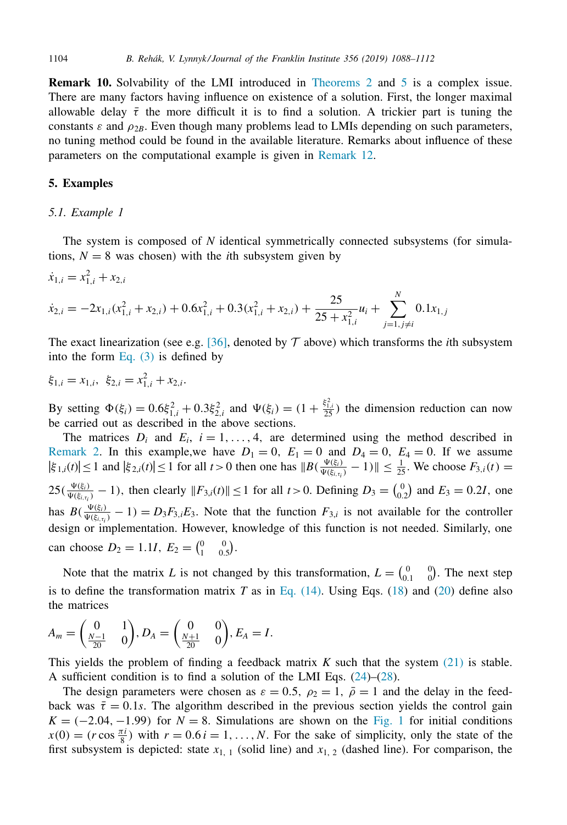<span id="page-16-0"></span>**Remark 10.** Solvability of the LMI introduced in [Theorems](#page-10-0) 2 and [5](#page-15-0) is a complex issue. There are many factors having influence on existence of a solution. First, the longer maximal allowable delay  $\bar{\tau}$  the more difficult it is to find a solution. A trickier part is tuning the constants  $\varepsilon$  and  $\rho_{2B}$ . Even though many problems lead to LMIs depending on such parameters, no tuning method could be found in the available literature. Remarks about influence of these parameters on the computational example is given in [Remark](#page-17-0) 12.

## **5. Examples**

#### *5.1. Example 1*

The system is composed of *N* identical symmetrically connected subsystems (for simulations,  $N = 8$  was chosen) with the *i*th subsystem given by

$$
\dot{x}_{1,i} = x_{1,i}^2 + x_{2,i}
$$
\n
$$
\dot{x}_{2,i} = -2x_{1,i}(x_{1,i}^2 + x_{2,i}) + 0.6x_{1,i}^2 + 0.3(x_{1,i}^2 + x_{2,i}) + \frac{25}{25 + x_{1,i}^2}u_i + \sum_{j=1, j \neq i}^{N} 0.1x_{1,j}
$$

The exact linearization (see e.g. [\[36\],](#page-24-0) denoted by  $\mathcal T$  above) which transforms the *i*th subsystem into the form [Eq.](#page-4-0)  $(3)$  is defined by

$$
\xi_{1,i} = x_{1,i}, \ \xi_{2,i} = x_{1,i}^2 + x_{2,i}.
$$

By setting  $\Phi(\xi_i) = 0.6 \xi_{1,i}^2 + 0.3 \xi_{2,i}^2$  and  $\Psi(\xi_i) = (1 + \frac{\xi_{1,i}^2}{25})$  the dimension reduction can now be carried out as described in the above sections.

The matrices  $D_i$  and  $E_i$ ,  $i = 1, \ldots, 4$ , are determined using the method described in [Remark](#page-5-0) 2. In this example, we have  $D_1 = 0$ ,  $E_1 = 0$  and  $D_4 = 0$ ,  $E_4 = 0$ . If we assume  $|\xi_{1,i}(t)| \le 1$  and  $|\xi_{2,i}(t)| \le 1$  for all  $t > 0$  then one has  $||B(\frac{\Psi(\xi_i)}{\Psi(\xi_{i,\tau_i})} - 1)|| \le \frac{1}{25}$ . We choose  $F_{3,i}(t) =$  $25(\frac{\Psi(\xi_i)}{\Psi(\xi_{i,t_i})}-1)$ , then clearly  $||F_{3,i}(t)|| \le 1$  for all  $t > 0$ . Defining  $D_3 = \binom{0}{0.2}$  and  $E_3 = 0.2I$ , one has  $B(\frac{\Psi(\xi_i)}{\Psi(\xi_{i,\tau_i})}-1) = D_3F_{3,i}E_3$ . Note that the function  $F_{3,i}$  is not available for the controller design or implementation. However, knowledge of this function is not needed. Similarly, one can choose  $D_2 = 1.1I$ ,  $E_2 = \begin{pmatrix} 0 & 0 \\ 1 & 0.5 \end{pmatrix}$ .

Note that the matrix *L* is not changed by this transformation,  $L = \begin{pmatrix} 0 & 0 \\ 0.1 & 0 \end{pmatrix}$ . The next step is to define the transformation matrix  $T$  as in Eq.  $(14)$ . Using Eqs.  $(18)$  and  $(20)$  define also the matrices

$$
A_m = \begin{pmatrix} 0 & 1 \\ \frac{N-1}{20} & 0 \end{pmatrix}, D_A = \begin{pmatrix} 0 & 0 \\ \frac{N+1}{20} & 0 \end{pmatrix}, E_A = I.
$$

This yields the problem of finding a feedback matrix *K* such that the system [\(21\)](#page-9-0) is stable. A sufficient condition is to find a solution of the LMI Eqs. [\(24\)](#page-10-0)–[\(28\)](#page-10-0).

The design parameters were chosen as  $\varepsilon = 0.5$ ,  $\rho_2 = 1$ ,  $\overline{\rho} = 1$  and the delay in the feedback was  $\bar{\tau} = 0.1s$ . The algorithm described in the previous section yields the control gain  $K = (-2.04, -1.99)$  for  $N = 8$ . Simulations are shown on the [Fig.](#page-17-0) 1 for initial conditions  $x(0) = (r \cos \frac{\pi i}{8})$  with  $r = 0.6 i = 1, ..., N$ . For the sake of simplicity, only the state of the first subsystem is depicted: state  $x_{1, 1}$  (solid line) and  $x_{1, 2}$  (dashed line). For comparison, the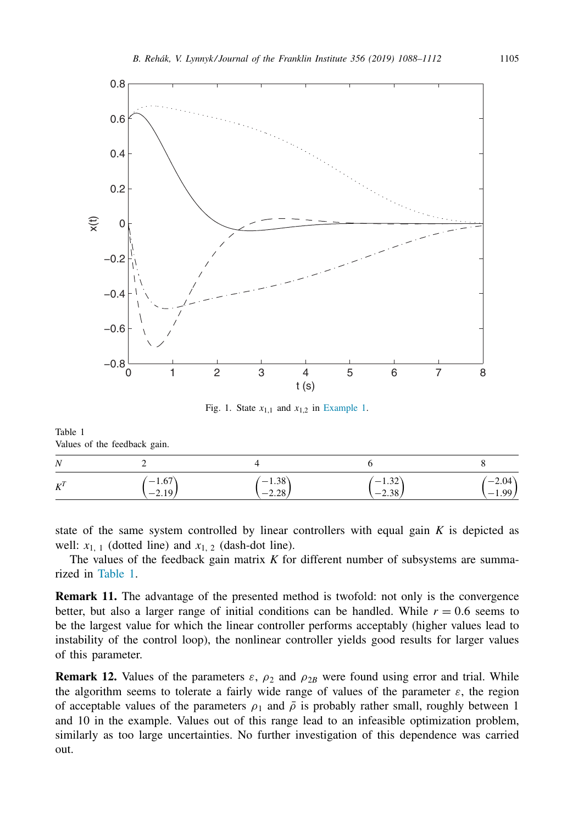<span id="page-17-0"></span>

Fig. 1. State  $x_{1,1}$  and  $x_{1,2}$  in [Example](#page-16-0) 1.

Table 1 Values of the feedback gain.

| N     |            |           |           |           |  |
|-------|------------|-----------|-----------|-----------|--|
| $K^T$ | $^{-1.67}$ | $(-1.38)$ | $(-1.32)$ | $(-2.04)$ |  |
|       | $-2.19$    | $-2.28$   | $-2.38$   | $-1.99$   |  |

state of the same system controlled by linear controllers with equal gain *K* is depicted as well:  $x_{1,1}$  (dotted line) and  $x_{1,2}$  (dash-dot line).

The values of the feedback gain matrix *K* for different number of subsystems are summarized in Table 1.

**Remark 11.** The advantage of the presented method is twofold: not only is the convergence better, but also a larger range of initial conditions can be handled. While  $r = 0.6$  seems to be the largest value for which the linear controller performs acceptably (higher values lead to instability of the control loop), the nonlinear controller yields good results for larger values of this parameter.

**Remark 12.** Values of the parameters  $\varepsilon$ ,  $\rho_2$  and  $\rho_{2B}$  were found using error and trial. While the algorithm seems to tolerate a fairly wide range of values of the parameter  $\varepsilon$ , the region of acceptable values of the parameters  $\rho_1$  and  $\overline{\rho}$  is probably rather small, roughly between 1 and 10 in the example. Values out of this range lead to an infeasible optimization problem, similarly as too large uncertainties. No further investigation of this dependence was carried out.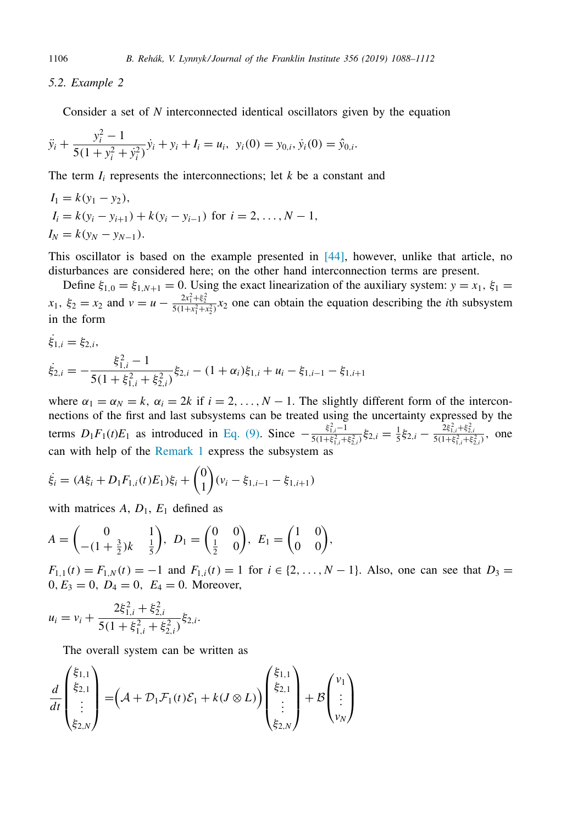## *5.2. Example 2*

Consider a set of *N* interconnected identical oscillators given by the equation

$$
\ddot{y}_i + \frac{y_i^2 - 1}{5(1 + y_i^2 + y_i^2)} \dot{y}_i + y_i + I_i = u_i, \ \ y_i(0) = y_{0,i}, \dot{y}_i(0) = \hat{y}_{0,i}.
$$

The term  $I_i$  represents the interconnections; let  $k$  be a constant and

$$
I_1 = k(y_1 - y_2),
$$
  
\n
$$
I_i = k(y_i - y_{i+1}) + k(y_i - y_{i-1}) \text{ for } i = 2, ..., N - 1,
$$
  
\n
$$
I_N = k(y_N - y_{N-1}).
$$

This oscillator is based on the example presented in  $[44]$ , however, unlike that article, no disturbances are considered here; on the other hand interconnection terms are present.

Define  $\xi_{1,0} = \xi_{1,N+1} = 0$ . Using the exact linearization of the auxiliary system:  $y = x_1, \xi_1 = 0$  $x_1, \xi_2 = x_2$  and  $v = u - \frac{2x_1^2 + \xi_2^2}{5(1+x_1^2+x_2^2)}x_2$  one can obtain the equation describing the *i*th subsystem in the form

$$
\dot{\xi}_{1,i} = \xi_{2,i},
$$
\n
$$
\dot{\xi}_{2,i} = -\frac{\xi_{1,i}^2 - 1}{5(1 + \xi_{1,i}^2 + \xi_{2,i}^2)} \xi_{2,i} - (1 + \alpha_i)\xi_{1,i} + u_i - \xi_{1,i-1} - \xi_{1,i+1}
$$

where  $\alpha_1 = \alpha_N = k$ ,  $\alpha_i = 2k$  if  $i = 2, ..., N - 1$ . The slightly different form of the interconnections of the first and last subsystems can be treated using the uncertainty expressed by the terms  $D_1F_1(t)E_1$  as introduced in [Eq.](#page-6-0) (9). Since  $-\frac{\xi_{1,i}^2-1}{5(1+k^2+1)}$  $\frac{\xi_{1,i}^2 - 1}{5(1 + \xi_{1,i}^2 + \xi_{2,i}^2)} \xi_{2,i} = \frac{1}{5} \xi_{2,i} - \frac{2\xi_{1,i}^2 + \xi_{2,i}^2}{5(1 + \xi_{1,i}^2 + \xi_{2,i}^2)},$  one can with help of the [Remark](#page-3-0) 1 express the subsystem as

$$
\dot{\xi}_i = (A\xi_i + D_1F_{1,i}(t)E_1)\xi_i + {0 \choose 1}(v_i - \xi_{1,i-1} - \xi_{1,i+1})
$$

with matrices  $A, D_1, E_1$  defined as

$$
A = \begin{pmatrix} 0 & 1 \\ -(1 + \frac{3}{2})k & \frac{1}{5} \end{pmatrix}, \ D_1 = \begin{pmatrix} 0 & 0 \\ \frac{1}{2} & 0 \end{pmatrix}, \ E_1 = \begin{pmatrix} 1 & 0 \\ 0 & 0 \end{pmatrix},
$$

 $F_{1,1}(t) = F_{1,N}(t) = -1$  and  $F_{1,i}(t) = 1$  for  $i \in \{2, ..., N-1\}$ . Also, one can see that  $D_3 =$  $0, E_3 = 0, D_4 = 0, E_4 = 0$ . Moreover,

$$
u_i = v_i + \frac{2\xi_{1,i}^2 + \xi_{2,i}^2}{5(1 + \xi_{1,i}^2 + \xi_{2,i}^2)}\xi_{2,i}.
$$

The overall system can be written as

$$
\frac{d}{dt} \begin{pmatrix} \xi_{1,1} \\ \xi_{2,1} \\ \vdots \\ \xi_{2,N} \end{pmatrix} = \left( \mathcal{A} + \mathcal{D}_1 \mathcal{F}_1(t) \mathcal{E}_1 + k(\mathcal{J} \otimes L) \right) \begin{pmatrix} \xi_{1,1} \\ \xi_{2,1} \\ \vdots \\ \xi_{2,N} \end{pmatrix} + \mathcal{B} \begin{pmatrix} v_1 \\ \vdots \\ v_N \end{pmatrix}
$$

<span id="page-18-0"></span>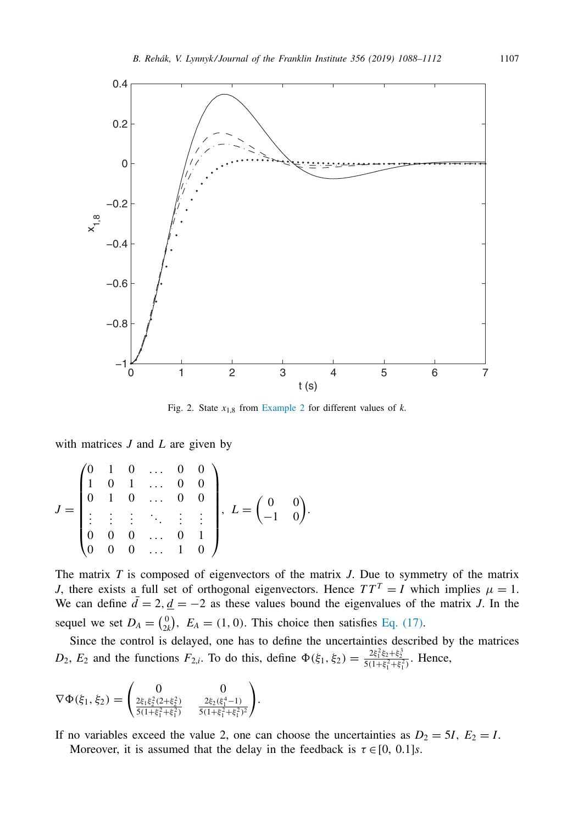<span id="page-19-0"></span>

Fig. 2. State  $x_{1,8}$  from [Example](#page-18-0) 2 for different values of  $k$ .

with matrices *J* and *L* are given by

$$
J = \begin{pmatrix} 0 & 1 & 0 & \dots & 0 & 0 \\ 1 & 0 & 1 & \dots & 0 & 0 \\ 0 & 1 & 0 & \dots & 0 & 0 \\ \vdots & \vdots & \vdots & \ddots & \vdots & \vdots \\ 0 & 0 & 0 & \dots & 0 & 1 \\ 0 & 0 & 0 & \dots & 1 & 0 \end{pmatrix}, L = \begin{pmatrix} 0 & 0 \\ -1 & 0 \end{pmatrix}
$$

The matrix *T* is composed of eigenvectors of the matrix *J*. Due to symmetry of the matrix *J*, there exists a full set of orthogonal eigenvectors. Hence  $TT^T = I$  which implies  $\mu = 1$ . We can define  $\bar{d} = 2$ ,  $\underline{d} = -2$  as these values bound the eigenvalues of the matrix *J*. In the sequel we set  $D_A = \begin{pmatrix} 0 \\ 2k \end{pmatrix}$ ,  $E_A = (1, 0)$ . This choice then satisfies Eq. [\(17\).](#page-8-0)

.

Since the control is delayed, one has to define the uncertainties described by the matrices *D*<sub>2</sub>, *E*<sub>2</sub> and the functions  $F_{2,i}$ . To do this, define  $\Phi(\xi_1, \xi_2) = \frac{2\xi_1^2\xi_2 + \xi_2^3}{5(1+\xi_1^2+\xi_1^2)}$ . Hence,

$$
\nabla \Phi(\xi_1, \xi_2) = \begin{pmatrix} 0 & 0 \\ \frac{2\xi_1 \xi_2^2 (2 + \xi_2^2)}{5(1 + \xi_1^2 + \xi_1^2)} & \frac{2\xi_2 (\xi_1^4 - 1)}{5(1 + \xi_1^2 + \xi_1^2)^2} \end{pmatrix}.
$$

If no variables exceed the value 2, one can choose the uncertainties as  $D_2 = 5I$ ,  $E_2 = I$ . Moreover, it is assumed that the delay in the feedback is  $\tau \in [0, 0.1]$ *s*.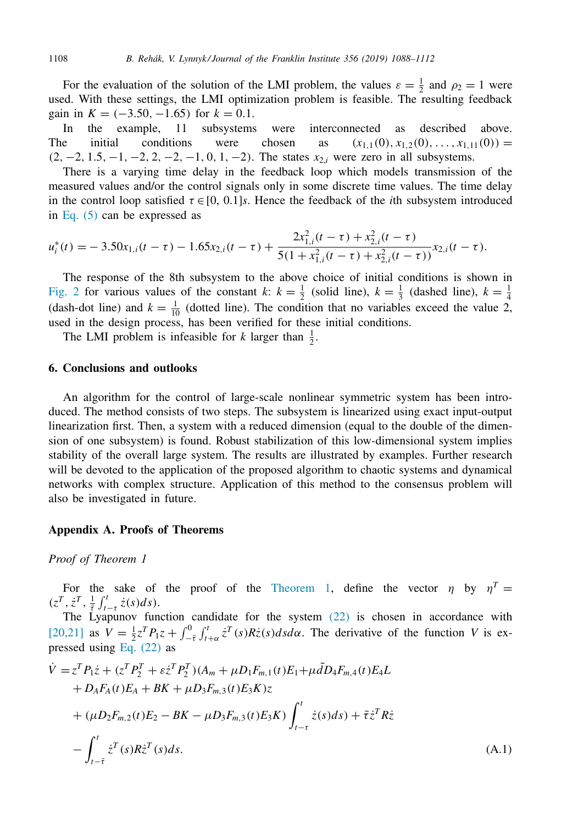For the evaluation of the solution of the LMI problem, the values  $\varepsilon = \frac{1}{2}$  and  $\rho_2 = 1$  were used. With these settings, the LMI optimization problem is feasible. The resulting feedback gain in  $K = (-3.50, -1.65)$  for  $k = 0.1$ .

In the example, 11 subsystems were interconnected as described above. The initial conditions were chosen as  $(x_{1,1}(0), x_{1,2}(0), \ldots, x_{1,11}(0)) =$  $(2, -2, 1.5, -1, -2, 2, -2, -1, 0, 1, -2)$ . The states  $x_{2,i}$  were zero in all subsystems.

There is a varying time delay in the feedback loop which models transmission of the measured values and/or the control signals only in some discrete time values. The time delay in the control loop satisfied  $\tau \in [0, 0.1]$ *s*. Hence the feedback of the *i*th subsystem introduced in [Eq.](#page-4-0) (5) can be expressed as

$$
u_i^*(t) = -3.50x_{1,i}(t-\tau) - 1.65x_{2,i}(t-\tau) + \frac{2x_{1,i}^2(t-\tau) + x_{2,i}^2(t-\tau)}{5(1+x_{1,i}^2(t-\tau) + x_{2,i}^2(t-\tau))}x_{2,i}(t-\tau).
$$

The response of the 8th subsystem to the above choice of initial conditions is shown in [Fig.](#page-19-0) 2 for various values of the constant *k*:  $k = \frac{1}{2}$  (solid line),  $k = \frac{1}{3}$  (dashed line),  $k = \frac{1}{4}$ (dash-dot line) and  $k = \frac{1}{10}$  (dotted line). The condition that no variables exceed the value 2, used in the design process, has been verified for these initial conditions.

The LMI problem is infeasible for *k* larger than  $\frac{1}{2}$ .

#### **6. Conclusions and outlooks**

An algorithm for the control of large-scale nonlinear symmetric system has been introduced. The method consists of two steps. The subsystem is linearized using exact input-output linearization first. Then, a system with a reduced dimension (equal to the double of the dimension of one subsystem) is found. Robust stabilization of this low-dimensional system implies stability of the overall large system. The results are illustrated by examples. Further research will be devoted to the application of the proposed algorithm to chaotic systems and dynamical networks with complex structure. Application of this method to the consensus problem will also be investigated in future.

#### **Appendix A. Proofs of Theorems**

*Proof of Theorem 1*

For the sake of the proof of the [Theorem](#page-10-0) 1, define the vector  $\eta$  by  $\eta^T =$  $(z^T, \dot{z}^T, \frac{1}{\bar{z}} \int_{t-\tau}^t \dot{z}(s) ds).$ 

The Lyapunov function candidate for the system  $(22)$  is chosen in accordance with [\[20,21\]](#page-23-0) as  $V = \frac{1}{2}z^T P_1 z + \int_{-\bar{\tau}}^0 \int_{t+\alpha}^t z^T(s) R \dot{z}(s) ds d\alpha$ . The derivative of the function *V* is expressed using Eq. [\(22\)](#page-9-0) as

$$
\dot{V} = z^T P_1 \dot{z} + (z^T P_2^T + \varepsilon \dot{z}^T P_2^T)(A_m + \mu D_1 F_{m,1}(t) E_1 + \mu \tilde{d} D_4 F_{m,4}(t) E_4 L \n+ D_A F_A(t) E_A + BK + \mu D_3 F_{m,3}(t) E_3 K) z \n+ (\mu D_2 F_{m,2}(t) E_2 - BK - \mu D_3 F_{m,3}(t) E_3 K) \int_{t-\tau}^t \dot{z}(s) ds) + \bar{\tau} \dot{z}^T R \dot{z} \n- \int_{t-\bar{\tau}}^t \dot{z}^T(s) R \dot{z}^T(s) ds.
$$
\n(A.1)

<span id="page-20-0"></span>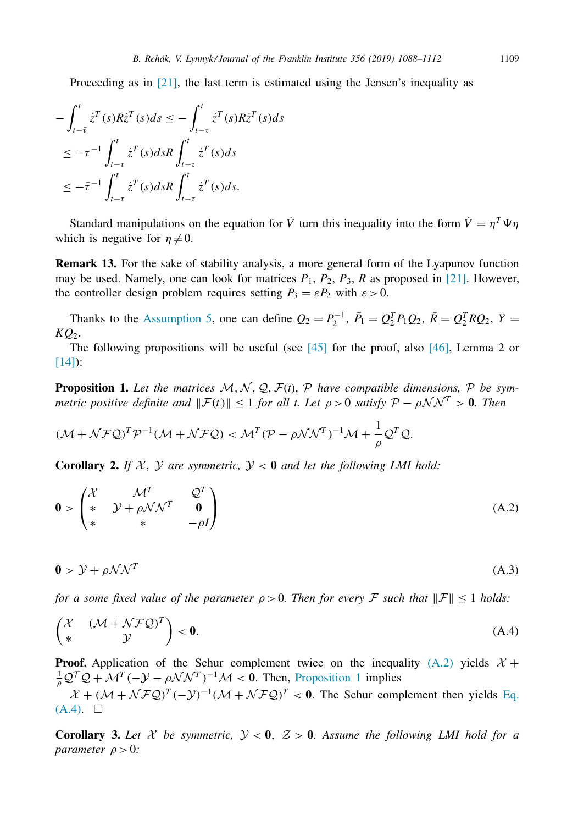<span id="page-21-0"></span>Proceeding as in  $[21]$ , the last term is estimated using the Jensen's inequality as

$$
-\int_{t-\overline{t}}^{t} \dot{z}^{T}(s)R\dot{z}^{T}(s)ds \leq -\int_{t-\tau}^{t} \dot{z}^{T}(s)R\dot{z}^{T}(s)ds
$$
  

$$
\leq -\tau^{-1}\int_{t-\tau}^{t} \dot{z}^{T}(s)dsR\int_{t-\tau}^{t} \dot{z}^{T}(s)ds
$$
  

$$
\leq -\overline{\tau}^{-1}\int_{t-\tau}^{t} \dot{z}^{T}(s)dsR\int_{t-\tau}^{t} \dot{z}^{T}(s)ds.
$$

Standard manipulations on the equation for *V* turn this inequality into the form  $\dot{V} = n^T \Psi n$ which is negative for  $n \neq 0$ .

**Remark 13.** For the sake of stability analysis, a more general form of the Lyapunov function may be used. Namely, one can look for matrices  $P_1$ ,  $P_2$ ,  $P_3$ ,  $R$  as proposed in [\[21\].](#page-24-0) However, the controller design problem requires setting  $P_3 = \varepsilon P_2$  with  $\varepsilon > 0$ .

Thanks to the [Assumption](#page-10-0) 5, one can define  $Q_2 = P_2^{-1}$ ,  $\bar{P}_1 = Q_2^T P_1 Q_2$ ,  $\bar{R} = Q_2^T R Q_2$ ,  $Y =$ *KQ*2.

The following propositions will be useful (see  $[45]$  for the proof, also  $[46]$ , Lemma 2 or [\[14\]\)](#page-23-0):

**Proposition 1.** Let the matrices  $M, N, Q, F(t), P$  have compatible dimensions, P be sym*metric positive definite and*  $\|\mathcal{F}(t)\| \leq 1$  *for all t. Let*  $\rho > 0$  *satisfy*  $\mathcal{P} - \rho \mathcal{N} \mathcal{N}^T > 0$ *. Then* 

$$
(\mathcal{M} + \mathcal{N} \mathcal{F} \mathcal{Q})^T \mathcal{P}^{-1} (\mathcal{M} + \mathcal{N} \mathcal{F} \mathcal{Q}) < \mathcal{M}^T (\mathcal{P} - \rho \mathcal{N} \mathcal{N}^T)^{-1} \mathcal{M} + \frac{1}{\rho} \mathcal{Q}^T \mathcal{Q}.
$$

**Corollary 2.** If  $X$ ,  $Y$  are symmetric,  $Y < 0$  and let the following LMI hold:

$$
\mathbf{0} > \begin{pmatrix} \mathcal{X} & \mathcal{M}^T & \mathcal{Q}^T \\ * & \mathcal{Y} + \rho \mathcal{N} \mathcal{N}^T & \mathbf{0} \\ * & * & -\rho I \end{pmatrix}
$$
(A.2)

$$
0 > \mathcal{Y} + \rho \mathcal{N} \mathcal{N}^T \tag{A.3}
$$

*for a* some fixed value of the parameter  $\rho > 0$ . Then for every F such that  $||F|| \le 1$  *holds:* 

$$
\begin{pmatrix} \mathcal{X} & (\mathcal{M} + \mathcal{N} \mathcal{F} \mathcal{Q})^T \\ * & \mathcal{Y} \end{pmatrix} < \mathbf{0}.\tag{A.4}
$$

**Proof.** Application of the Schur complement twice on the inequality  $(A.2)$  yields  $\mathcal{X}$  +  $\frac{1}{\rho} Q^{\mathcal{T}} Q + \mathcal{M}^{\mathcal{T}} (-\mathcal{Y} - \rho \mathcal{N} \mathcal{N}^{\mathcal{T}})^{-1} \mathcal{M} < 0$ . Then, Proposition 1 implies

 $X + (M + N \mathcal{F} \mathcal{Q})^T (-\mathcal{Y})^{-1} (M + N \mathcal{F} \mathcal{Q})^T < 0$ . The Schur complement then yields Eq.  $(A.4)$ .  $\square$ 

**Corollary 3.** Let X be symmetric,  $\mathcal{Y} < 0$ ,  $\mathcal{Z} > 0$ . Assume the following LMI hold for a *parameter*  $\rho > 0$ *:*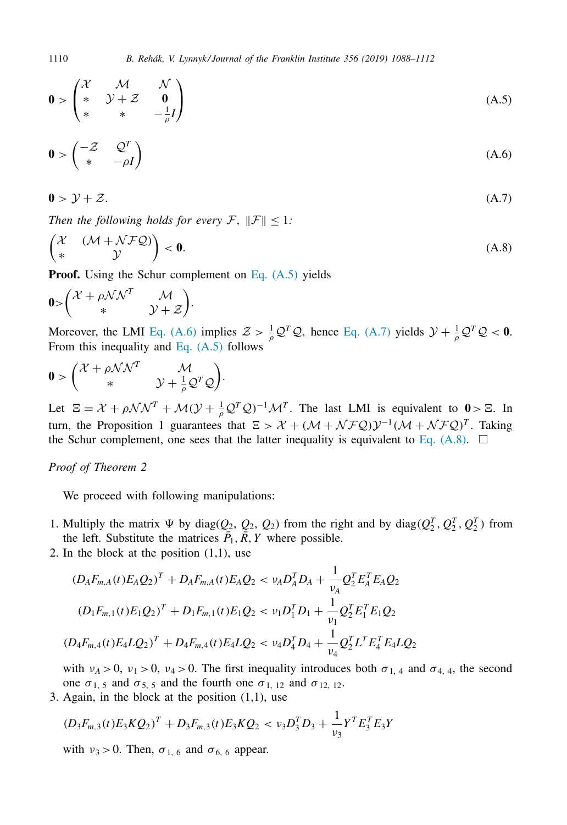$$
\mathbf{0} > \begin{pmatrix} \mathcal{X} & \mathcal{M} & \mathcal{N} \\ * & \mathcal{Y} + \mathcal{Z} & \mathbf{0} \\ * & * & -\frac{1}{\rho}I \end{pmatrix}
$$
 (A.5)

$$
\mathbf{0} > \begin{pmatrix} -Z & Q^T \\ * & -\rho I \end{pmatrix} \tag{A.6}
$$

$$
0 > \mathcal{Y} + \mathcal{Z}.\tag{A.7}
$$

*Then the following holds for every*  $\mathcal{F}$ ,  $\|\mathcal{F}\|$  < 1*:* 

$$
\begin{pmatrix} \mathcal{X} & (\mathcal{M} + \mathcal{N} \mathcal{F} \mathcal{Q}) \\ * & \mathcal{Y} \end{pmatrix} < \mathbf{0}.\tag{A.8}
$$

**Proof.** Using the Schur complement on Eq. (A.5) yields

$$
0 > \begin{pmatrix} \mathcal{X} + \rho \mathcal{N} \mathcal{N}^T & \mathcal{M} \\ * & \mathcal{Y} + \mathcal{Z} \end{pmatrix}.
$$

Moreover, the LMI Eq. (A.6) implies  $Z > \frac{1}{\rho} Q^T Q$ , hence Eq. (A.7) yields  $\mathcal{Y} + \frac{1}{\rho} Q^T Q < 0$ . From this inequality and Eq.  $(A.5)$  follows

$$
\mathbf{0} > \begin{pmatrix} \mathcal{X} + \rho \mathcal{N} \mathcal{N}^T & \mathcal{M} \\ * & \mathcal{Y} + \frac{1}{\rho} \mathcal{Q}^T \mathcal{Q} \end{pmatrix}.
$$

Let  $\Xi = \mathcal{X} + \rho \mathcal{N} \mathcal{N}^T + \mathcal{M} (\mathcal{Y} + \frac{1}{\rho} \mathcal{Q}^T \mathcal{Q})^{-1} \mathcal{M}^T$ . The last LMI is equivalent to  $0 > \Xi$ . In turn, the Proposition 1 guarantees that  $E > \mathcal{X} + (\mathcal{M} + \mathcal{N} \mathcal{F} \mathcal{Q}) \mathcal{Y}^{-1} (\mathcal{M} + \mathcal{N} \mathcal{F} \mathcal{Q})^T$ . Taking the Schur complement, one sees that the latter inequality is equivalent to Eq.  $(A.8)$ .  $\square$ 

## *Proof of Theorem 2*

We proceed with following manipulations:

- 1. Multiply the matrix  $\Psi$  by diag( $Q_2$ ,  $Q_2$ ,  $Q_2$ ) from the right and by diag( $Q_2^T$ ,  $Q_2^T$ ,  $Q_2^T$ ) from the left. Substitute the matrices  $\bar{P}_1$ ,  $\bar{R}$ , *Y* where possible.
- 2. In the block at the position  $(1,1)$ , use

$$
(D_{A}F_{m,A}(t)E_{A}Q_{2})^{T} + D_{A}F_{m,A}(t)E_{A}Q_{2} < v_{A}D_{A}^{T}D_{A} + \frac{1}{v_{A}}Q_{2}^{T}E_{A}^{T}E_{A}Q_{2}
$$
  

$$
(D_{1}F_{m,1}(t)E_{1}Q_{2})^{T} + D_{1}F_{m,1}(t)E_{1}Q_{2} < v_{1}D_{1}^{T}D_{1} + \frac{1}{v_{1}}Q_{2}^{T}E_{1}^{T}E_{1}Q_{2}
$$
  

$$
(D_{4}F_{m,4}(t)E_{4}LQ_{2})^{T} + D_{4}F_{m,4}(t)E_{4}LQ_{2} < v_{4}D_{4}^{T}D_{4} + \frac{1}{v_{4}}Q_{2}^{T}L^{T}E_{4}^{T}E_{4}LQ_{2}
$$

with  $v_A > 0$ ,  $v_1 > 0$ ,  $v_4 > 0$ . The first inequality introduces both  $\sigma_{1,4}$  and  $\sigma_{4,4}$ , the second one  $\sigma_{1, 5}$  and  $\sigma_{5, 5}$  and the fourth one  $\sigma_{1, 12}$  and  $\sigma_{12, 12}$ .

3. Again, in the block at the position  $(1,1)$ , use

$$
(D_3F_{m,3}(t)E_3KQ_2)^T + D_3F_{m,3}(t)E_3KQ_2 < v_3D_3^TD_3 + \frac{1}{v_3}Y^TE_3^TE_3Y
$$

with  $v_3 > 0$ . Then,  $\sigma_{1,6}$  and  $\sigma_{6,6}$  appear.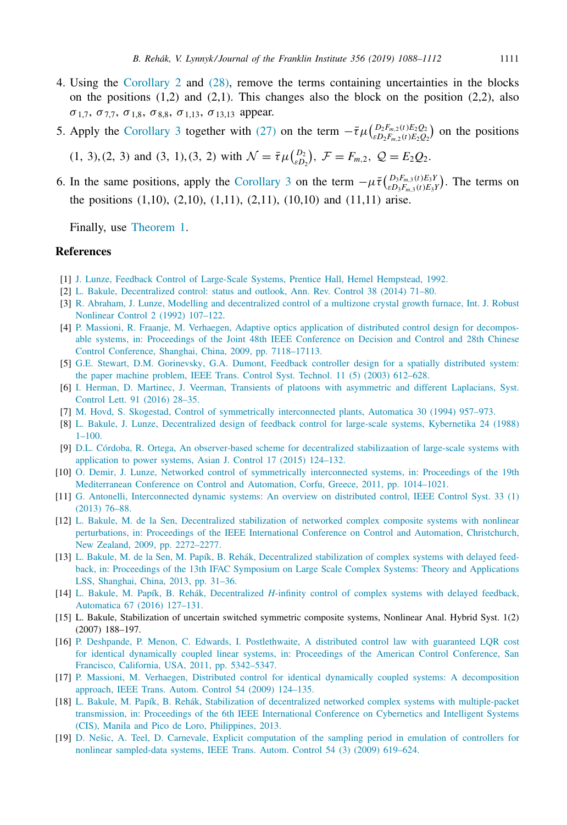- <span id="page-23-0"></span>4. Using the [Corollary](#page-21-0) 2 and [\(28\),](#page-10-0) remove the terms containing uncertainties in the blocks on the positions  $(1,2)$  and  $(2,1)$ . This changes also the block on the position  $(2,2)$ , also  $\sigma_{1,7}$ ,  $\sigma_{7,7}$ ,  $\sigma_{1,8}$ ,  $\sigma_{8,8}$ ,  $\sigma_{1,13}$ ,  $\sigma_{13,13}$  appear.
- 5. Apply the [Corollary](#page-21-0) 3 together with [\(27\)](#page-10-0) on the term  $-\bar{\tau}\mu\left(\frac{D_2F_{m,2}(t)E_2Q_2}{\epsilon D_2F_{m,2}(t)E_2Q_2}\right)$  on the positions

 $(1, 3), (2, 3)$  and  $(3, 1), (3, 2)$  with  $\mathcal{N} = \bar{\tau} \mu \binom{D_2}{\epsilon D_2}, \ \mathcal{F} = F_{m,2}, \ \mathcal{Q} = E_2 \mathcal{Q}_2.$ 

6. In the same positions, apply the [Corollary](#page-21-0) 3 on the term  $-\mu \bar{\tau} \left( \frac{D_3 F_{m,3}(t) E_3 Y}{\epsilon D_3 F_{m,3}(t) E_3 Y} \right)$ . The terms on the positions  $(1,10)$ ,  $(2,10)$ ,  $(1,11)$ ,  $(2,11)$ ,  $(10,10)$  and  $(11,11)$  arise.

Finally, use [Theorem](#page-10-0) 1.

# **References**

- [1] J. [Lunze,](http://refhub.elsevier.com/S0016-0032(18)30320-X/sbref0001) Feedback Control of [Large-Scale](http://refhub.elsevier.com/S0016-0032(18)30320-X/sbref0001) Systems, Prentice Hall, Hemel Hempstead, 1992.
- [2] L. [Bakule,](http://refhub.elsevier.com/S0016-0032(18)30320-X/sbref0002) [Decentralized](http://refhub.elsevier.com/S0016-0032(18)30320-X/sbref0002) control: status and outlook, Ann. Rev. Control 38 (2014) 71–80.
- [3] R. [Abraham,](http://refhub.elsevier.com/S0016-0032(18)30320-X/sbref0003) J. [Lunze,](http://refhub.elsevier.com/S0016-0032(18)30320-X/sbref0003) Modelling and [decentralized](http://refhub.elsevier.com/S0016-0032(18)30320-X/sbref0003) control of a multizone crystal growth furnace, Int. J. Robust Nonlinear Control 2 (1992) 107–122.
- [4] P. [Massioni,](http://refhub.elsevier.com/S0016-0032(18)30320-X/sbref0004) R. [Fraanje,](http://refhub.elsevier.com/S0016-0032(18)30320-X/sbref0004) M. [Verhaegen,](http://refhub.elsevier.com/S0016-0032(18)30320-X/sbref0004) Adaptive optics application of distributed control design for decomposable systems, in: Proceedings of the Joint 48th IEEE Conference on Decision and Control and 28th Chinese Control Conference, Shanghai, China, 2009, pp. [7118–17113.](http://refhub.elsevier.com/S0016-0032(18)30320-X/sbref0004)
- [5] G.E. [Stewart,](http://refhub.elsevier.com/S0016-0032(18)30320-X/sbref0005) D.M. [Gorinevsky,](http://refhub.elsevier.com/S0016-0032(18)30320-X/sbref0005) G.A. [Dumont,](http://refhub.elsevier.com/S0016-0032(18)30320-X/sbref0005) Feedback controller design for a spatially distributed system: the paper machine problem, IEEE Trans. Control Syst. Technol. 11 (5) (2003) 612–628.
- [6] I. [Herman,](http://refhub.elsevier.com/S0016-0032(18)30320-X/sbref0006) D. [Martinec,](http://refhub.elsevier.com/S0016-0032(18)30320-X/sbref0006) J. [Veerman,](http://refhub.elsevier.com/S0016-0032(18)30320-X/sbref0006) Transients of platoons with [asymmetric](http://refhub.elsevier.com/S0016-0032(18)30320-X/sbref0006) and different Laplacians, Syst. Control Lett. 91 (2016) 28–35.
- [7] M. [Hovd,](http://refhub.elsevier.com/S0016-0032(18)30320-X/sbref0007) S. [Skogestad,](http://refhub.elsevier.com/S0016-0032(18)30320-X/sbref0007) Control of symmetrically [interconnected](http://refhub.elsevier.com/S0016-0032(18)30320-X/sbref0007) plants, Automatica 30 (1994) 957–973.
- [8] L. [Bakule,](http://refhub.elsevier.com/S0016-0032(18)30320-X/sbref0008) J. [Lunze,](http://refhub.elsevier.com/S0016-0032(18)30320-X/sbref0008) [Decentralized](http://refhub.elsevier.com/S0016-0032(18)30320-X/sbref0008) design of feedback control for large-scale systems, Kybernetika 24 (1988)  $1-100$ .
- [9] D.L. [Córdoba,](http://refhub.elsevier.com/S0016-0032(18)30320-X/sbref0009) R. [Ortega,](http://refhub.elsevier.com/S0016-0032(18)30320-X/sbref0009) An [observer-based](http://refhub.elsevier.com/S0016-0032(18)30320-X/sbref0009) scheme for decentralized stabilizaation of large-scale systems with application to power systems, Asian J. Control 17 (2015) 124–132.
- [10] O. [Demir,](http://refhub.elsevier.com/S0016-0032(18)30320-X/sbref0010) J. [Lunze,](http://refhub.elsevier.com/S0016-0032(18)30320-X/sbref0010) Networked control of symmetrically [interconnected](http://refhub.elsevier.com/S0016-0032(18)30320-X/sbref0010) systems, in: Proceedings of the 19th Mediterranean Conference on Control and Automation, Corfu, Greece, 2011, pp. 1014–1021.
- [11] G. [Antonelli,](http://refhub.elsevier.com/S0016-0032(18)30320-X/sbref0011) [Interconnected](http://refhub.elsevier.com/S0016-0032(18)30320-X/sbref0011) dynamic systems: An overview on distributed control, IEEE Control Syst. 33 (1) (2013) 76–88.
- [12] L. [Bakule,](http://refhub.elsevier.com/S0016-0032(18)30320-X/sbref0012) M. de la [Sen,](http://refhub.elsevier.com/S0016-0032(18)30320-X/sbref0012) [Decentralized](http://refhub.elsevier.com/S0016-0032(18)30320-X/sbref0012) stabilization of networked complex composite systems with nonlinear perturbations, in: Proceedings of the IEEE International Conference on Control and Automation, Christchurch, New Zealand, 2009, pp. 2272–2277.
- [13] L. [Bakule,](http://refhub.elsevier.com/S0016-0032(18)30320-X/sbref0013) M. de la [Sen,](http://refhub.elsevier.com/S0016-0032(18)30320-X/sbref0013) M. [Papík,](http://refhub.elsevier.com/S0016-0032(18)30320-X/sbref0013) B. [Rehák,](http://refhub.elsevier.com/S0016-0032(18)30320-X/sbref0013) [Decentralized](http://refhub.elsevier.com/S0016-0032(18)30320-X/sbref0013) stabilization of complex systems with delayed feedback, in: Proceedings of the 13th IFAC Symposium on Large Scale Complex Systems: Theory and Applications LSS, Shanghai, China, 2013, pp. 31–36.
- [14] L. [Bakule,](http://refhub.elsevier.com/S0016-0032(18)30320-X/sbref0014) M. [Papík,](http://refhub.elsevier.com/S0016-0032(18)30320-X/sbref0014) B. [Rehák,](http://refhub.elsevier.com/S0016-0032(18)30320-X/sbref0014) [Decentralized](http://refhub.elsevier.com/S0016-0032(18)30320-X/sbref0014) *H*-infinity control of complex systems with delayed feedback, Automatica 67 (2016) 127–131.
- [15] L. Bakule, Stabilization of uncertain switched symmetric composite systems, Nonlinear Anal. Hybrid Syst. 1(2) (2007) 188–197.
- [16] P. [Deshpande,](http://refhub.elsevier.com/S0016-0032(18)30320-X/sbref0016) P. [Menon,](http://refhub.elsevier.com/S0016-0032(18)30320-X/sbref0016) C. [Edwards,](http://refhub.elsevier.com/S0016-0032(18)30320-X/sbref0016) I. [Postlethwaite,](http://refhub.elsevier.com/S0016-0032(18)30320-X/sbref0016) A distributed control law with guaranteed LQR cost for identical dynamically coupled linear systems, in: Proceedings of the American Control Conference, San Francisco, California, USA, 2011, pp. 5342–5347.
- [17] P. [Massioni,](http://refhub.elsevier.com/S0016-0032(18)30320-X/sbref0017) M. [Verhaegen,](http://refhub.elsevier.com/S0016-0032(18)30320-X/sbref0017) Distributed control for identical dynamically coupled systems: A [decomposition](http://refhub.elsevier.com/S0016-0032(18)30320-X/sbref0017) approach, IEEE Trans. Autom. Control 54 (2009) 124–135.
- [18] L. [Bakule,](http://refhub.elsevier.com/S0016-0032(18)30320-X/sbref0018) M. [Papík,](http://refhub.elsevier.com/S0016-0032(18)30320-X/sbref0018) B. [Rehák,](http://refhub.elsevier.com/S0016-0032(18)30320-X/sbref0018) Stabilization of decentralized networked complex systems with [multiple-packet](http://refhub.elsevier.com/S0016-0032(18)30320-X/sbref0018) transmission, in: Proceedings of the 6th IEEE International Conference on Cybernetics and Intelligent Systems (CIS), Manila and Pico de Loro, Philippines, 2013.
- [19] D. [Nešic,](http://refhub.elsevier.com/S0016-0032(18)30320-X/sbref0019) A. [Teel,](http://refhub.elsevier.com/S0016-0032(18)30320-X/sbref0019) D. [Carnevale,](http://refhub.elsevier.com/S0016-0032(18)30320-X/sbref0019) Explicit computation of the sampling period in emulation of controllers for nonlinear [sampled-data](http://refhub.elsevier.com/S0016-0032(18)30320-X/sbref0019) systems, IEEE Trans. Autom. Control 54 (3) (2009) 619–624.